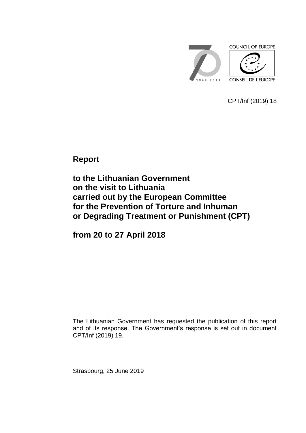

CPT/Inf (2019) 18

**Report**

**to the Lithuanian Government on the visit to Lithuania carried out by the European Committee for the Prevention of Torture and Inhuman or Degrading Treatment or Punishment (CPT)**

**from 20 to 27 April 2018**

The Lithuanian Government has requested the publication of this report and of its response. The Government's response is set out in document CPT/Inf (2019) 19.

Strasbourg, 25 June 2019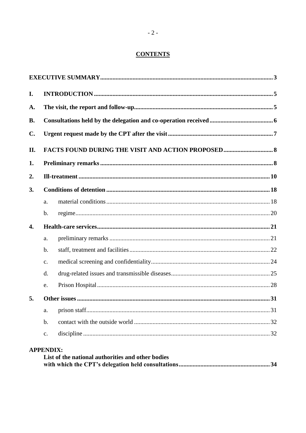# **CONTENTS**

| I.             |                |  |  |  |
|----------------|----------------|--|--|--|
| A.             |                |  |  |  |
| <b>B.</b>      |                |  |  |  |
| $\mathbf{C}$ . |                |  |  |  |
| II.            |                |  |  |  |
| 1.             |                |  |  |  |
| 2.             |                |  |  |  |
| 3.             |                |  |  |  |
|                | a.             |  |  |  |
|                | $\mathbf b$ .  |  |  |  |
| 4.             |                |  |  |  |
|                | a.             |  |  |  |
|                | $\mathbf{b}$ . |  |  |  |
|                | $C_{\bullet}$  |  |  |  |
|                | d.             |  |  |  |
|                | e.             |  |  |  |
| 5.             |                |  |  |  |
|                | a.             |  |  |  |
|                | $\mathbf b$ .  |  |  |  |
|                | c.             |  |  |  |

| List of the national authorities and other bodies |  |
|---------------------------------------------------|--|
|                                                   |  |

**APPENDIX:**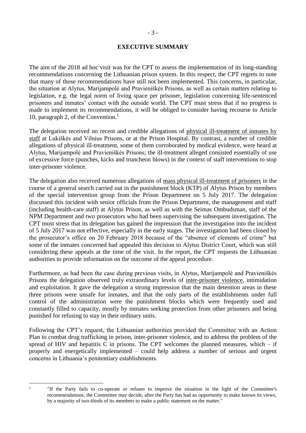#### **EXECUTIVE SUMMARY**

<span id="page-2-0"></span>The aim of the 2018 ad hoc visit was for the CPT to assess the implementation of its long-standing recommendations concerning the Lithuanian prison system. In this respect, the CPT regrets to note that many of those recommendations have still not been implemented. This concerns, in particular, the situation at Alytus, Marijampolė and Pravieniškės Prisons, as well as certain matters relating to legislation, e.g. the legal norm of living space per prisoner, legislation concerning life-sentenced prisoners and inmates' contact with the outside world. The CPT must stress that if no progress is made to implement its recommendations, it will be obliged to consider having recourse to Article 10, paragraph 2, of the Convention.<sup>1</sup>

The delegation received no recent and credible allegations of physical ill-treatment of inmates by staff at Lukiškės and Vilnius Prisons, or at the Prison Hospital. By contrast, a number of credible allegations of physical ill-treatment, some of them corroborated by medical evidence, were heard at Alytus, Marijampolė and Pravieniškės Prisons; the ill-treatment alleged consisted essentially of use of excessive force (punches, kicks and truncheon blows) in the context of staff interventions to stop inter-prisoner violence.

The delegation also received numerous allegations of mass physical ill-treatment of prisoners in the course of a general search carried out in the punishment block (KTP) of Alytus Prison by members of the special intervention group from the Prison Department on 5 July 2017. The delegation discussed this incident with senior officials from the Prison Department, the management and staff (including health-care staff) at Alytus Prison, as well as with the Seimas Ombudsman, staff of the NPM Department and two prosecutors who had been supervising the subsequent investigation. The CPT must stress that its delegation has gained the impression that the investigation into the incident of 5 July 2017 was not effective, especially in the early stages. The investigation had been closed by the prosecutor's office on 20 February 2018 because of the "absence of elements of crime" but some of the inmates concerned had appealed this decision to Alytus District Court, which was still considering these appeals at the time of the visit. In the report, the CPT requests the Lithuanian authorities to provide information on the outcome of the appeal procedure.

Furthermore, as had been the case during previous visits, in Alytus, Marijampolė and Pravieniškės Prisons the delegation observed truly extraordinary levels of inter-prisoner violence, intimidation and exploitation. It gave the delegation a strong impression that the main detention areas in these three prisons were unsafe for inmates, and that the only parts of the establishments under full control of the administration were the punishment blocks which were frequently used and constantly filled to capacity, mostly by inmates seeking protection from other prisoners and being punished for refusing to stay in their ordinary units.

Following the CPT's request, the Lithuanian authorities provided the Committee with an Action Plan to combat drug trafficking in prison, inter-prisoner violence, and to address the problem of the spread of HIV and hepatitis C in prisons. The CPT welcomes the planned measures, which  $-$  if properly and energetically implemented – could help address a number of serious and urgent concerns in Lithuania's penitentiary establishments.

 $\frac{1}{1}$ 

<sup>&</sup>quot;If the Party fails to co-operate or refuses to improve the situation in the light of the Committee's recommendations, the Committee may decide, after the Party has had an opportunity to make known its views, by a majority of two-thirds of its members to make a public statement on the matter."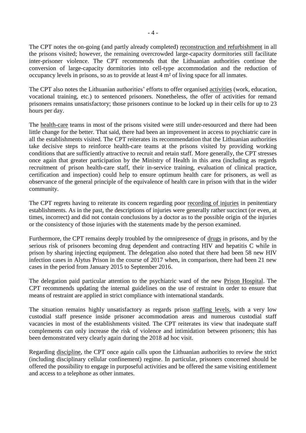The CPT notes the on-going (and partly already completed) reconstruction and refurbishment in all the prisons visited; however, the remaining overcrowded large-capacity dormitories still facilitate inter-prisoner violence. The CPT recommends that the Lithuanian authorities continue the conversion of large-capacity dormitories into cell-type accommodation and the reduction of occupancy levels in prisons, so as to provide at least 4 m² of living space for all inmates.

The CPT also notes the Lithuanian authorities' efforts to offer organised activities (work, education, vocational training, etc.) to sentenced prisoners. Nonetheless, the offer of activities for remand prisoners remains unsatisfactory; those prisoners continue to be locked up in their cells for up to 23 hours per day.

The health-care teams in most of the prisons visited were still under-resourced and there had been little change for the better. That said, there had been an improvement in access to psychiatric care in all the establishments visited. The CPT reiterates its recommendation that the Lithuanian authorities take decisive steps to reinforce health-care teams at the prisons visited by providing working conditions that are sufficiently attractive to recruit and retain staff. More generally, the CPT stresses once again that greater participation by the Ministry of Health in this area (including as regards recruitment of prison health-care staff, their in-service training, evaluation of clinical practice, certification and inspection) could help to ensure optimum health care for prisoners, as well as observance of the general principle of the equivalence of health care in prison with that in the wider community.

The CPT regrets having to reiterate its concern regarding poor recording of injuries in penitentiary establishments. As in the past, the descriptions of injuries were generally rather succinct (or even, at times, incorrect) and did not contain conclusions by a doctor as to the possible origin of the injuries or the consistency of those injuries with the statements made by the person examined.

Furthermore, the CPT remains deeply troubled by the omnipresence of drugs in prisons, and by the serious risk of prisoners becoming drug dependent and contracting HIV and hepatitis C while in prison by sharing injecting equipment. The delegation also noted that there had been 58 new HIV infection cases in Alytus Prison in the course of 2017 when, in comparison, there had been 21 new cases in the period from January 2015 to September 2016.

The delegation paid particular attention to the psychiatric ward of the new Prison Hospital. The CPT recommends updating the internal guidelines on the use of restraint in order to ensure that means of restraint are applied in strict compliance with international standards.

The situation remains highly unsatisfactory as regards prison staffing levels, with a very low custodial staff presence inside prisoner accommodation areas and numerous custodial staff vacancies in most of the establishments visited. The CPT reiterates its view that inadequate staff complements can only increase the risk of violence and intimidation between prisoners; this has been demonstrated very clearly again during the 2018 ad hoc visit.

Regarding discipline, the CPT once again calls upon the Lithuanian authorities to review the strict (including disciplinary cellular confinement) regime. In particular, prisoners concerned should be offered the possibility to engage in purposeful activities and be offered the same visiting entitlement and access to a telephone as other inmates.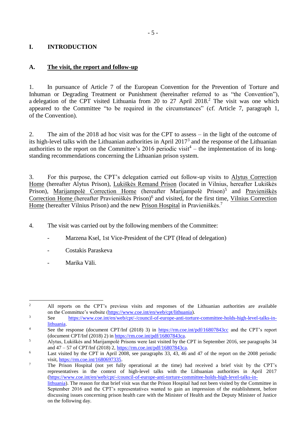# <span id="page-4-0"></span>**I. INTRODUCTION**

# <span id="page-4-1"></span>**A. The visit, the report and follow-up**

1. In pursuance of Article 7 of the European Convention for the Prevention of Torture and Inhuman or Degrading Treatment or Punishment (hereinafter referred to as "the Convention"), a delegation of the CPT visited Lithuania from 20 to 27 April 2018. <sup>2</sup> The visit was one which appeared to the Committee "to be required in the circumstances" (cf. Article 7, paragraph 1, of the Convention).

2. The aim of the 2018 ad hoc visit was for the CPT to assess – in the light of the outcome of its high-level talks with the Lithuanian authorities in April  $2017<sup>3</sup>$  and the response of the Lithuanian authorities to the report on the Committee's 2016 periodic visit<sup>4</sup> – the implementation of its longstanding recommendations concerning the Lithuanian prison system.

3. For this purpose, the CPT's delegation carried out follow-up visits to Alytus Correction Home (hereafter Alytus Prison), Lukiškės Remand Prison (located in Vilnius, hereafter Lukiškės Prison), Marijampolė Correction Home (hereafter Marijampolė Prison)<sup>5</sup> and Pravieniškės Correction Home (hereafter Pravieniškės Prison)<sup>6</sup> and visited, for the first time, Vilnius Correction Home (hereafter Vilnius Prison) and the new Prison Hospital in Pravieniškės.<sup>7</sup>

- 4. The visit was carried out by the following members of the Committee:
	- Marzena Ksel, 1st Vice-President of the CPT (Head of delegation)
	- Costakis Paraskeva
	- Marika Väli.

<sup>2</sup> All reports on the CPT's previous visits and responses of the Lithuanian authorities are available on the Committee's website [\(https://www.coe.int/en/web/cpt/lithuania\)](https://www.coe.int/en/web/cpt/lithuania).

<sup>&</sup>lt;u>.</u>

<sup>&</sup>lt;sup>3</sup> See [https://www.coe.int/en/web/cpt/-/council-of-europe-anti-torture-committee-holds-high-level-talks-in](https://www.coe.int/en/web/cpt/-/council-of-europe-anti-torture-committee-holds-high-level-talks-in-lithuania)[lithuania.](https://www.coe.int/en/web/cpt/-/council-of-europe-anti-torture-committee-holds-high-level-talks-in-lithuania)

<sup>&</sup>lt;sup>4</sup> See the response (document CPT/Inf (2018) 3) in<https://rm.coe.int/pdf/16807843cc> and the CPT's report (document CPT/Inf (2018) 2) i[n https://rm.coe.int/pdf/16807843ca.](https://rm.coe.int/pdf/16807843ca)

<sup>5</sup> Alytus, Lukiškės and Marijampolė Prisons were last visited by the CPT in September 2016, see paragraphs 34 and 47 – 57 of CPT/Inf (2018) 2, [https://rm.coe.int/pdf/16807843ca.](https://rm.coe.int/pdf/16807843ca)

<sup>&</sup>lt;sup>6</sup> Last visited by the CPT in April 2008, see paragraphs 33, 43, 46 and 47 of the report on the 2008 periodic visit, [https://rm.coe.int/1680697335.](https://rm.coe.int/1680697335)

<sup>&</sup>lt;sup>7</sup> The Prison Hospital (not yet fully operational at the time) had received a brief visit by the CPT's representatives in the context of high-level talks with the Lithuanian authorities in April 2017 [\(https://www.coe.int/en/web/cpt/-/council-of-europe-anti-torture-committee-holds-high-level-talks-in](https://www.coe.int/en/web/cpt/-/council-of-europe-anti-torture-committee-holds-high-level-talks-in-lithuania)[lithuania\)](https://www.coe.int/en/web/cpt/-/council-of-europe-anti-torture-committee-holds-high-level-talks-in-lithuania). The reason for that brief visit was that the Prison Hospital had not been visited by the Committee in September 2016 and the CPT's representatives wanted to gain an impression of the establishment, before discussing issues concerning prison health care with the Minister of Health and the Deputy Minister of Justice on the following day.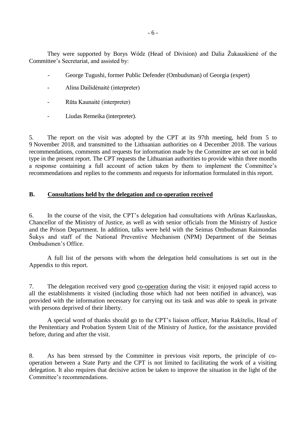They were supported by Borys Wódz (Head of Division) and Dalia Žukauskienė of the Committee's Secretariat, and assisted by:

- George Tugushi, former Public Defender (Ombudsman) of Georgia (expert)
- Alina Dailidėnaitė (interpreter)
- Rūta Kaunaitė (interpreter)
- Liudas Remeika (interpreter).

5. The report on the visit was adopted by the CPT at its 97th meeting, held from 5 to 9 November 2018, and transmitted to the Lithuanian authorities on 4 December 2018. The various recommendations, comments and requests for information made by the Committee are set out in bold type in the present report. The CPT requests the Lithuanian authorities to provide within three months a response containing a full account of action taken by them to implement the Committee's recommendations and replies to the comments and requests for information formulated in this report.

#### <span id="page-5-0"></span>**B. Consultations held by the delegation and co-operation received**

6. In the course of the visit, the CPT's delegation had consultations with Arūnas Kazlauskas, Chancellor of the Ministry of Justice, as well as with senior officials from the Ministry of Justice and the Prison Department. In addition, talks were held with the Seimas Ombudsman Raimondas Šukys and staff of the National Preventive Mechanism (NPM) Department of the Seimas Ombudsmen's Office.

A full list of the persons with whom the delegation held consultations is set out in the Appendix to this report.

7. The delegation received very good co-operation during the visit: it enjoyed rapid access to all the establishments it visited (including those which had not been notified in advance), was provided with the information necessary for carrying out its task and was able to speak in private with persons deprived of their liberty.

A special word of thanks should go to the CPT's liaison officer, Marius Rakštelis, Head of the Penitentiary and Probation System Unit of the Ministry of Justice, for the assistance provided before, during and after the visit.

8. As has been stressed by the Committee in previous visit reports, the principle of cooperation between a State Party and the CPT is not limited to facilitating the work of a visiting delegation. It also requires that decisive action be taken to improve the situation in the light of the Committee's recommendations.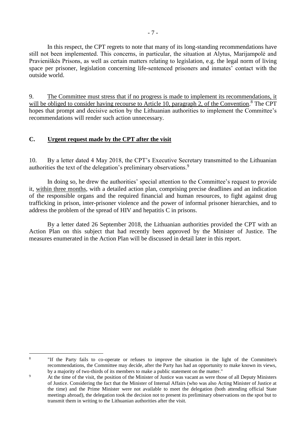In this respect, the CPT regrets to note that many of its long-standing recommendations have still not been implemented. This concerns, in particular, the situation at Alytus, Marijampolė and Pravieniškės Prisons, as well as certain matters relating to legislation, e.g. the legal norm of living space per prisoner, legislation concerning life-sentenced prisoners and inmates' contact with the outside world.

9. The Committee must stress that if no progress is made to implement its recommendations, it will be obliged to consider having recourse to Article 10, paragraph 2, of the Convention.<sup>8</sup> The CPT hopes that prompt and decisive action by the Lithuanian authorities to implement the Committee's recommendations will render such action unnecessary.

## <span id="page-6-0"></span>**C. Urgent request made by the CPT after the visit**

10. By a letter dated 4 May 2018, the CPT's Executive Secretary transmitted to the Lithuanian authorities the text of the delegation's preliminary observations.<sup>9</sup>

In doing so, he drew the authorities' special attention to the Committee's request to provide it, within three months, with a detailed action plan, comprising precise deadlines and an indication of the responsible organs and the required financial and human resources, to fight against drug trafficking in prison, inter-prisoner violence and the power of informal prisoner hierarchies, and to address the problem of the spread of HIV and hepatitis C in prisons.

By a letter dated 26 September 2018, the Lithuanian authorities provided the CPT with an Action Plan on this subject that had recently been approved by the Minister of Justice. The measures enumerated in the Action Plan will be discussed in detail later in this report.

 $\frac{1}{8}$ 

<sup>&</sup>quot;If the Party fails to co-operate or refuses to improve the situation in the light of the Committee's recommendations, the Committee may decide, after the Party has had an opportunity to make known its views, by a majority of two-thirds of its members to make a public statement on the matter."

<sup>&</sup>lt;sup>9</sup> At the time of the visit, the position of the Minister of Justice was vacant as were those of all Deputy Ministers of Justice. Considering the fact that the Minister of Internal Affairs (who was also Acting Minister of Justice at the time) and the Prime Minister were not available to meet the delegation (both attending official State meetings abroad), the delegation took the decision not to present its preliminary observations on the spot but to transmit them in writing to the Lithuanian authorities after the visit.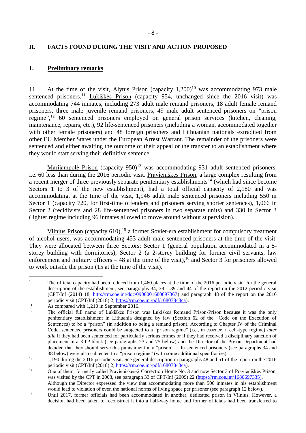### <span id="page-7-0"></span>**II. FACTS FOUND DURING THE VISIT AND ACTION PROPOSED**

#### <span id="page-7-1"></span>**1. Preliminary remarks**

11. At the time of the visit, Alytus Prison (capacity  $1,200$ )<sup>10</sup> was accommodating 973 male sentenced prisoners.<sup>11</sup> Lukiškės Prison (capacity 954, unchanged since the 2016 visit) was accommodating 744 inmates, including 273 adult male remand prisoners, 18 adult female remand prisoners, three male juvenile remand prisoners, 49 male adult sentenced prisoners on "prison regime",<sup>12</sup> 60 sentenced prisoners employed on general prison services (kitchen, cleaning, maintenance, repairs, etc.), 92 life-sentenced prisoners (including a woman, accommodated together with other female prisoners) and 48 foreign prisoners and Lithuanian nationals extradited from other EU Member States under the European Arrest Warrant. The remainder of the prisoners were sentenced and either awaiting the outcome of their appeal or the transfer to an establishment where they would start serving their definitive sentence.

Marijampolė Prison (capacity 950)<sup>13</sup> was accommodating 931 adult sentenced prisoners, i.e. 60 less than during the 2016 periodic visit. Pravieniškės Prison, a large complex resulting from a recent merger of three previously separate penitentiary establishments<sup>14</sup> (which had since become Sectors 1 to 3 of the new establishment), had a total official capacity of 2,180 and was accommodating, at the time of the visit, 1,946 adult male sentenced prisoners including 550 in Sector 1 (capacity 720, for first-time offenders and prisoners serving shorter sentences), 1,066 in Sector 2 (recidivists and 28 life-sentenced prisoners in two separate units) and 330 in Sector 3 (lighter regime including 96 inmates allowed to move around without supervision).

Vilnius Prison (capacity 610),<sup>15</sup> a former Soviet-era establishment for compulsory treatment of alcohol users, was accommodating 453 adult male sentenced prisoners at the time of the visit. They were allocated between three Sectors: Sector 1 (general population accommodated in a 5 storey building with dormitories), Sector 2 (a 2-storey building for former civil servants, law enforcement and military officers  $-48$  at the time of the visit), <sup>16</sup> and Sector 3 for prisoners allowed to work outside the prison (15 at the time of the visit).

 $10\,$ The official capacity had been reduced from 1,460 places at the time of the 2016 periodic visit. For the general description of the establishment, see paragraphs 34, 38 – 39 and 44 of the report on the 2012 periodic visit (CPT/Inf (2014) 18, [http://rm.coe.int/doc/0900001680697367\)](http://rm.coe.int/doc/0900001680697367) and paragraph 48 of the report on the 2016 periodic visit (CPT/Inf (2018) 2, [https://rm.coe.int/pdf/16807843ca\)](https://rm.coe.int/pdf/16807843ca).

<sup>&</sup>lt;sup>11</sup> As compared with 1,210 in September 2016.

<sup>12</sup> The official full name of Lukiškės Prison was Lukiškės Remand Prison-Prison because it was the only penitentiary establishment in Lithuania designed by law (Section 62 of the Code on the Execution of Sentences) to be a "prison" (in addition to being a remand prison). According to Chapter IV of the Criminal Code, sentenced prisoners could be subjected to a "prison regime" (i.e., in essence, a cell-type regime) *inter alia* if they had been sentenced for particularly serious crimes or if they had received a disciplinary sanction of placement in a KTP block (see paragraphs 23 and 75 below) and the Director of the Prison Department had decided that they should serve this punishment in a "prison". Life-sentenced prisoners (see paragraphs 34 and 38 below) were also subjected to a "prison regime" (with some additional specificities).

<sup>&</sup>lt;sup>13</sup> 1,190 during the 2016 periodic visit. See general description in paragraphs 48 and 51 of the report on the 2016 periodic visit (CPT/Inf (2018) 2, [https://rm.coe.int/pdf/16807843ca\)](https://rm.coe.int/pdf/16807843ca).

<sup>&</sup>lt;sup>14</sup> One of them, formerly called Pravieniškės-2 Correction Home No. 3 and now Sector 3 of Pravieniškės Prison, was visited by the CPT in 2008, see paragraph 33 of CPT/Inf (2009) 22 [\(https://rm.coe.int/1680697335\)](https://rm.coe.int/1680697335).

<sup>&</sup>lt;sup>15</sup> Although the Director expressed the view that accommodating more than 500 inmates in his establishment would lead to violation of even the national norms of living space per prisoner (see paragraph 12 below).

<sup>&</sup>lt;sup>16</sup> Until 2017, former officials had been accommodated in another, dedicated prison in Vilnius. However, a decision had been taken to reconstruct it into a half-way home and former officials had been transferred to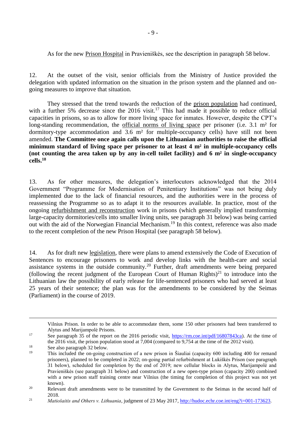As for the new Prison Hospital in Pravieniškės, see the description in paragraph 58 below.

12. At the outset of the visit, senior officials from the Ministry of Justice provided the delegation with updated information on the situation in the prison system and the planned and ongoing measures to improve that situation.

They stressed that the trend towards the reduction of the prison population had continued, with a further 5% decrease since the 2016 visit.<sup>17</sup> This had made it possible to reduce official capacities in prisons, so as to allow for more living space for inmates. However, despite the CPT's long-standing recommendation, the official norms of living space per prisoner (i.e. 3.1 m<sup>2</sup> for dormitory-type accommodation and 3.6 m<sup>2</sup> for multiple-occupancy cells) have still not been amended. **The Committee once again calls upon the Lithuanian authorities to raise the official minimum standard of living space per prisoner to at least 4 m² in multiple-occupancy cells (not counting the area taken up by any in-cell toilet facility) and 6 m² in single-occupancy cells.<sup>18</sup>**

13. As for other measures, the delegation's interlocutors acknowledged that the 2014 Government "Programme for Modernisation of Penitentiary Institutions" was not being duly implemented due to the lack of financial resources, and the authorities were in the process of reassessing the Programme so as to adapt it to the resources available. In practice, most of the ongoing refurbishment and reconstruction work in prisons (which generally implied transforming large-capacity dormitories/cells into smaller living units, see paragraph 31 below) was being carried out with the aid of the Norwegian Financial Mechanism.<sup>19</sup> In this context, reference was also made to the recent completion of the new Prison Hospital (see paragraph 58 below).

14. As for draft new legislation, there were plans to amend extensively the Code of Execution of Sentences to encourage prisoners to work and develop links with the health-care and social assistance systems in the outside community.<sup>20</sup> Further, draft amendments were being prepared (following the recent judgment of the European Court of Human Rights) $^{21}$  to introduce into the Lithuanian law the possibility of early release for life-sentenced prisoners who had served at least 25 years of their sentence; the plan was for the amendments to be considered by the Seimas (Parliament) in the course of 2019.

Vilnius Prison. In order to be able to accommodate them, some 150 other prisoners had been transferred to Alytus and Marijampolė Prisons.

<u>.</u>

<sup>&</sup>lt;sup>17</sup> See paragraph 35 of the report on the 2016 periodic visit, [https://rm.coe.int/pdf/16807843ca\)](https://rm.coe.int/pdf/16807843ca). At the time of the 2016 visit, the prison population stood at 7,004 (compared to 9,754 at the time of the 2012 visit).

<sup>&</sup>lt;sup>18</sup> See also paragraph 32 below.

<sup>19</sup> This included the on-going construction of a new prison in Šiauliai (capacity 600 including 400 for remand prisoners), planned to be completed in 2022; on-going partial refurbishment at Lukiškės Prison (see paragraph 31 below), scheduled for completion by the end of 2019; new cellular blocks in Alytus, Marijampolė and Pravieniškės (see paragraph 31 below) and construction of a new open-type prison (capacity 200) combined with a new prison staff training centre near Vilnius (the timing for completion of this project was not yet known).

<sup>&</sup>lt;sup>20</sup> Relevant draft amendments were to be transmitted by the Government to the Seimas in the second half of 2018.

<sup>&</sup>lt;sup>21</sup> *Matiošaitis and Others v. Lithuania*, judgment of 23 May 2017, [http://hudoc.echr.coe.int/eng?i=001-173623.](http://hudoc.echr.coe.int/eng?i=001-173623)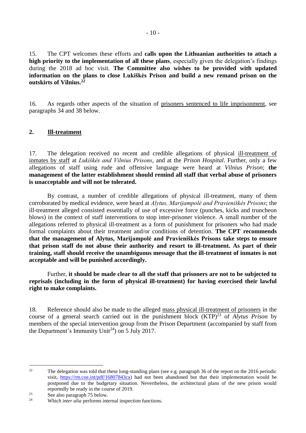15. The CPT welcomes these efforts and **calls upon the Lithuanian authorities to attach a high priority to the implementation of all these plans**, especially given the delegation's findings during the 2018 ad hoc visit. **The Committee also wishes to be provided with updated information on the plans to close Lukiškės Prison and build a new remand prison on the outskirts of Vilnius.<sup>22</sup>**

16. As regards other aspects of the situation of prisoners sentenced to life imprisonment, see paragraphs 34 and 38 below.

## <span id="page-9-0"></span>**2. Ill-treatment**

17. The delegation received no recent and credible allegations of physical ill-treatment of inmates by staff at *Lukiškės and Vilnius Prisons*, and at the *Prison Hospital*. Further, only a few allegations of staff using rude and offensive language were heard at *Vilnius Prison*; **the management of the latter establishment should remind all staff that verbal abuse of prisoners is unacceptable and will not be tolerated.**

By contrast, a number of credible allegations of physical ill-treatment, many of them corroborated by medical evidence, were heard at *Alytus, Marijampolė and Pravieniškės Prisons*; the ill-treatment alleged consisted essentially of use of excessive force (punches, kicks and truncheon blows) in the context of staff interventions to stop inter-prisoner violence. A small number of the allegations referred to physical ill-treatment as a form of punishment for prisoners who had made formal complaints about their treatment and/or conditions of detention. **The CPT recommends that the management of Alytus, Marijampolė and Pravieniškės Prisons take steps to ensure that prison staff do not abuse their authority and resort to ill-treatment. As part of their training, staff should receive the unambiguous message that the ill-treatment of inmates is not acceptable and will be punished accordingly.**

Further, **it should be made clear to all the staff that prisoners are not to be subjected to reprisals (including in the form of physical ill-treatment) for having exercised their lawful right to make complaints.** 

18. Reference should also be made to the alleged mass physical ill-treatment of prisoners in the course of a general search carried out in the punishment block (KTP)<sup>23</sup> of *Alytus Prison* by members of the special intervention group from the Prison Department (accompanied by staff from the Department's Immunity Unit<sup>24</sup>) on 5 July 2017.

 $22$ <sup>22</sup> The delegation was told that these long-standing plans (see e.g. paragraph 36 of the report on the 2016 periodic visit, [https://rm.coe.int/pdf/16807843ca\)](https://rm.coe.int/pdf/16807843ca) had not been abandoned but that their implementation would be postponed due to the budgetary situation. Nevertheless, the architectural plans of the new prison would reportedly be ready in the course of 2019.

 $23$  See also paragraph 75 below.<br> $24$  Which inter alia performs into

Which *inter alia* performs internal inspection functions.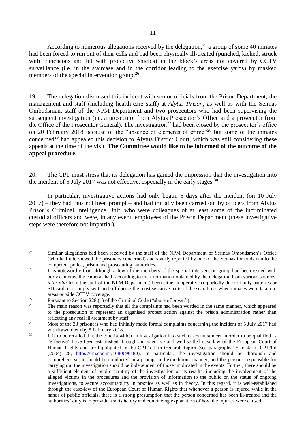According to numerous allegations received by the delegation, $^{25}$  a group of some 40 inmates had been forced to run out of their cells and had been physically ill-treated (punched, kicked, struck with truncheons and hit with protective shields) in the block's areas not covered by CCTV surveillance (i.e. in the staircase and in the corridor leading to the exercise yards) by masked members of the special intervention group.<sup>26</sup>

19. The delegation discussed this incident with senior officials from the Prison Department, the management and staff (including health-care staff) at *Alytus Prison*, as well as with the Seimas Ombudsman, staff of the NPM Department and two prosecutors who had been supervising the subsequent investigation (i.e. a prosecutor from Alytus Prosecutor's Office and a prosecutor from the Office of the Prosecutor General). The investigation<sup>27</sup> had been closed by the prosecutor's office on 20 February 2018 because of the "absence of elements of crime"<sup>28</sup> but some of the inmates concerned<sup>29</sup> had appealed this decision to Alytus District Court, which was still considering these appeals at the time of the visit. **The Committee would like to be informed of the outcome of the appeal procedure.**

20. The CPT must stress that its delegation has gained the impression that the investigation into the incident of 5 July 2017 was not effective, especially in the early stages.<sup>30</sup>

In particular, investigative actions had only begun 5 days after the incident (on 10 July 2017) – they had thus not been prompt – and had initially been carried out by officers from Alytus Prison's Criminal Intelligence Unit, who were colleagues of at least some of the incriminated custodial officers and were, in any event, employees of the Prison Department (these investigative steps were therefore not impartial).

<u>.</u>

<sup>&</sup>lt;sup>25</sup> Similar allegations had been received by the staff of the NPM Department of Seimas Ombudsmen's Office (who had interviewed the prisoners concerned) and swiftly reported by one of the Seimas Ombudsmen to the competent police, prison and prosecuting authorities.

<sup>&</sup>lt;sup>26</sup> It is noteworthy that, although a few of the members of the special intervention group had been issued with body cameras, the cameras had (according to the information obtained by the delegation from various sources, *inter alia* from the staff of the NPM Department) been either inoperative (reportedly due to faulty batteries or SD cards) or simply switched off during the most sensitive parts of the search i.e. when inmates were taken to areas outside CCTV coverage.

<sup>&</sup>lt;sup>27</sup> Pursuant to Section 228 (1) of the Criminal Code ("abuse of power").<br><sup>28</sup> The main gases was sportedly that all the complaints had been was

The main reason was reportedly that all the complaints had been worded in the same manner, which appeared to the prosecution to represent an organised protest action against the prison administration rather than reflecting any real ill-treatment by staff.

<sup>&</sup>lt;sup>29</sup> Most of the 33 prisoners who had initially made formal complaints concerning the incident of 5 July 2017 had withdrawn them by 5 February 2018.

<sup>&</sup>lt;sup>30</sup> It is to be recalled that the criteria which an investigation into such cases must meet in order to be qualified as "effective" have been established through an extensive and well-settled case-law of the European Court of Human Rights and are highlighted in the CPT's 14th General Report (see paragraphs 25 to 42 of CPT/Inf (2004) 28, [https://rm.coe.int/1680696a80\)](https://rm.coe.int/1680696a80). In particular, the investigation should be thorough and comprehensive, it should be conducted in a prompt and expeditious manner, and the persons responsible for carrying out the investigation should be independent of those implicated in the events. Further, there should be a sufficient element of public scrutiny of the investigation or its results, including the involvement of the alleged victims in the procedures and the provision of information to the public on the status of ongoing investigations, to secure accountability in practice as well as in theory. In this regard, it is well-established through the case-law of the European Court of Human Rights that whenever a person is injured while in the hands of public officials, there is a strong presumption that the person concerned has been ill-treated and the authorities' duty is to provide a satisfactory and convincing explanation of how the injuries were caused.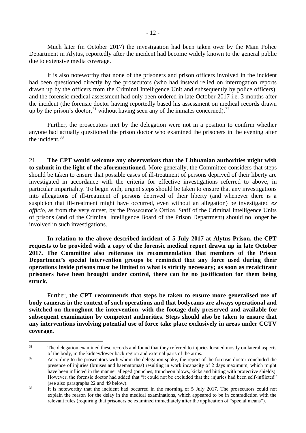Much later (in October 2017) the investigation had been taken over by the Main Police Department in Alytus, reportedly after the incident had become widely known to the general public due to extensive media coverage.

It is also noteworthy that none of the prisoners and prison officers involved in the incident had been questioned directly by the prosecutors (who had instead relied on interrogation reports drawn up by the officers from the Criminal Intelligence Unit and subsequently by police officers), and the forensic medical assessment had only been ordered in late October 2017 i.e. 3 months after the incident (the forensic doctor having reportedly based his assessment on medical records drawn up by the prison's doctor,  $31$  without having seen any of the inmates concerned).  $32$ 

Further, the prosecutors met by the delegation were not in a position to confirm whether anyone had actually questioned the prison doctor who examined the prisoners in the evening after the incident.<sup>33</sup>

21. **The CPT would welcome any observations that the Lithuanian authorities might wish to submit in the light of the aforementioned.** More generally, the Committee considers that steps should be taken to ensure that possible cases of ill-treatment of persons deprived of their liberty are investigated in accordance with the criteria for effective investigations referred to above, in particular impartiality. To begin with, urgent steps should be taken to ensure that any investigations into allegations of ill-treatment of persons deprived of their liberty (and whenever there is a suspicion that ill-treatment might have occurred, even without an allegation) be investigated *ex officio*, as from the very outset, by the Prosecutor's Office. Staff of the Criminal Intelligence Units of prisons (and of the Criminal Intelligence Board of the Prison Department) should no longer be involved in such investigations.

**In relation to the above-described incident of 5 July 2017 at Alytus Prison, the CPT requests to be provided with a copy of the forensic medical report drawn up in late October 2017. The Committee also reiterates its recommendation that members of the Prison Department's special intervention groups be reminded that any force used during their operations inside prisons must be limited to what is strictly necessary; as soon as recalcitrant prisoners have been brought under control, there can be no justification for them being struck.**

Further, **the CPT recommends that steps be taken to ensure more generalised use of body cameras in the context of such operations and that bodycams are always operational and switched on throughout the intervention, with the footage duly preserved and available for subsequent examination by competent authorities. Steps should also be taken to ensure that any interventions involving potential use of force take place exclusively in areas under CCTV coverage.**

<sup>&</sup>lt;sup>31</sup> The delegation examined these records and found that they referred to injuries located mostly on lateral aspects of the body, in the kidney/lower back region and external parts of the arms.

<sup>&</sup>lt;sup>32</sup> According to the prosecutors with whom the delegation spoke, the report of the forensic doctor concluded the presence of injuries (bruises and haematomas) resulting in work incapacity of 2 days maximum, which might have been inflicted in the manner alleged (punches, truncheon blows, kicks and hitting with protective shields). However, the forensic doctor had added that "it could not be excluded that the injuries had been self-inflicted" (see also paragraphs 22 and 49 below).

<sup>&</sup>lt;sup>33</sup> It is noteworthy that the incident had occurred in the morning of 5 July 2017. The prosecutors could not explain the reason for the delay in the medical examinations, which appeared to be in contradiction with the relevant rules (requiring that prisoners be examined immediately after the application of "special means").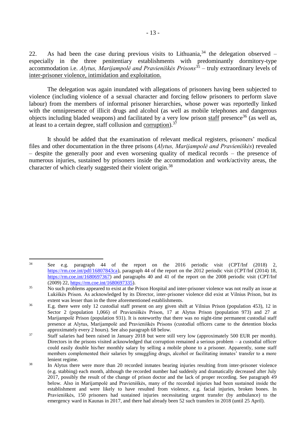22. As had been the case during previous visits to Lithuania,  $34$  the delegation observed – especially in the three penitentiary establishments with predominantly dormitory-type accommodation i.e. *Alytus, Marijampolė and Pravieniškės Prisons*<sup>35</sup> – truly extraordinary levels of inter-prisoner violence, intimidation and exploitation.

The delegation was again inundated with allegations of prisoners having been subjected to violence (including violence of a sexual character and forcing fellow prisoners to perform slave labour) from the members of informal prisoner hierarchies, whose power was reportedly linked with the omnipresence of illicit drugs and alcohol (as well as mobile telephones and dangerous objects including bladed weapons) and facilitated by a very low prison staff presence<sup>36</sup> (as well as, at least to a certain degree, staff collusion and corruption). $37$ 

It should be added that the examination of relevant medical registers, prisoners' medical files and other documentation in the three prisons (*Alytus, Marijampolė and Pravieniškės*) revealed – despite the generally poor and even worsening quality of medical records – the presence of numerous injuries, sustained by prisoners inside the accommodation and work/activity areas, the character of which clearly suggested their violent origin.<sup>38</sup>

<sup>1</sup> <sup>34</sup> See e.g. paragraph 44 of the report on the 2016 periodic visit (CPT/Inf (2018) 2, [https://rm.coe.int/pdf/16807843ca\)](https://rm.coe.int/pdf/16807843ca), paragraph 44 of the report on the 2012 periodic visit (CPT/Inf (2014) 18, [https://rm.coe.int/1680697367\)](https://rm.coe.int/1680697367) and paragraphs 40 and 41 of the report on the 2008 periodic visit (CPT/Inf (2009) 22, [https://rm.coe.int/1680697335\)](https://rm.coe.int/1680697335).

<sup>&</sup>lt;sup>35</sup> No such problems appeared to exist at the Prison Hospital and inter-prisoner violence was not really an issue at Lukiškės Prison. As acknowledged by its Director, inter-prisoner violence did exist at Vilnius Prison, but its extent was lesser than in the three aforementioned establishments.

<sup>36</sup> E.g. there were only 12 custodial staff present on any given shift at Vilnius Prison (population 453), 12 in Sector 2 (population 1,066) of Pravieniškės Prison, 17 at Alytus Prison (population 973) and 27 at Marijampolė Prison (population 931). It is noteworthy that there was no night-time permanent custodial staff presence at Alytus, Marijampolė and Pravieniškės Prisons (custodial officers came to the detention blocks approximately every 2 hours). See also paragraph 68 below.

<sup>&</sup>lt;sup>37</sup> Staff salaries had been raised in January 2018 but were still very low (approximately 500 EUR per month). Directors in the prisons visited acknowledged that corruption remained a serious problem – a custodial officer could easily double his/her monthly salary by selling a mobile phone to a prisoner. Apparently, some staff members complemented their salaries by smuggling drugs, alcohol or facilitating inmates' transfer to a more lenient regime.

<sup>&</sup>lt;sup>38</sup> In Alytus there were more than 20 recorded inmates bearing injuries resulting from inter-prisoner violence (e.g. stabbing) each month, although the recorded number had suddenly and dramatically decreased after July 2017, possibly the result of the change of prison doctor and the lack of proper recording. See paragraph 49 below. Also in Marijampolė and Pravieniškės, many of the recorded injuries had been sustained inside the establishment and were likely to have resulted from violence, e.g. facial injuries, broken bones. In Pravieniškės, 150 prisoners had sustained injuries necessitating urgent transfer (by ambulance) to the emergency ward in Kaunas in 2017, and there had already been 52 such transfers in 2018 (until 25 April).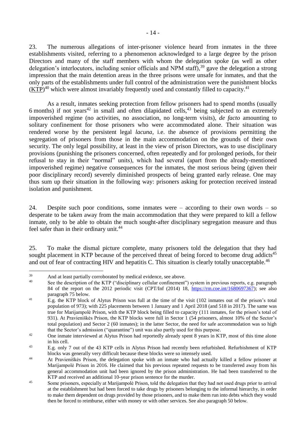23. The numerous allegations of inter-prisoner violence heard from inmates in the three establishments visited, referring to a phenomenon acknowledged to a large degree by the prison Directors and many of the staff members with whom the delegation spoke (as well as other delegation's interlocutors, including senior officials and NPM staff),<sup>39</sup> gave the delegation a strong impression that the main detention areas in the three prisons were unsafe for inmates, and that the only parts of the establishments under full control of the administration were the punishment blocks  $(KTP)^{40}$  which were almost invariably frequently used and constantly filled to capacity.<sup>41</sup>

As a result, inmates seeking protection from fellow prisoners had to spend months (usually 6 months) if not years<sup>42</sup> in small and often dilapidated cells,<sup>43</sup> being subjected to an extremely impoverished regime (no activities, no association, no long-term visits), *de facto* amounting to solitary confinement for those prisoners who were accommodated alone. Their situation was rendered worse by the persistent legal *lacuna,* i.e. the absence of provisions permitting the segregation of prisoners from those in the main accommodation on the grounds of their own security. The only legal possibility, at least in the view of prison Directors, was to use disciplinary provisions (punishing the prisoners concerned, often repeatedly and for prolonged periods, for their refusal to stay in their "normal" units), which had several (apart from the already-mentioned impoverished regime) negative consequences for the inmates, the most serious being (given their poor disciplinary record) severely diminished prospects of being granted early release. One may thus sum up their situation in the following way: prisoners asking for protection received instead isolation and punishment.

24. Despite such poor conditions, some inmates were – according to their own words – so desperate to be taken away from the main accommodation that they were prepared to kill a fellow inmate, only to be able to obtain the much sought-after disciplinary segregation measure and thus feel safer than in their ordinary unit.<sup>44</sup>

25. To make the dismal picture complete, many prisoners told the delegation that they had sought placement in KTP because of the perceived threat of being forced to become drug addicts<sup>45</sup> and out of fear of contracting HIV and hepatitis C. This situation is clearly totally unacceptable.<sup>46</sup>

 $39$  And at least partially corroborated by medical evidence, see above.

See the description of the KTP ("disciplinary cellular confinement") system in previous reports, e.g. paragraph 84 of the report on the 2012 periodic visit (CPT/Inf (2014) 18, [https://rm.coe.int/1680697367\)](https://rm.coe.int/1680697367); see also paragraph 75 below.

<sup>&</sup>lt;sup>41</sup> E.g. the KTP block of Alytus Prison was full at the time of the visit (102 inmates out of the prison's total population of 973); with 225 placements between 1 January and 1 April 2018 (and 518 in 2017). The same was true for Marijampolė Prison, with the KTP block being filled to capacity (111 inmates, for the prison's total of 931). At Pravieniškės Prison, the KTP blocks were full in Sector 1 (54 prisoners, almost 10% of the Sector's total population) and Sector 2 (60 inmates); in the latter Sector, the need for safe accommodation was so high that the Sector's admission ("quarantine") unit was also partly used for this purpose.

<sup>&</sup>lt;sup>42</sup> One inmate interviewed at Alytus Prison had reportedly already spent 8 years in KTP, most of this time alone in his cell.

<sup>&</sup>lt;sup>43</sup> E.g. only 7 out of the 43 KTP cells in Alytus Prison had recently been refurbished. Refurbishment of KTP blocks was generally very difficult because these blocks were so intensely used.

<sup>&</sup>lt;sup>44</sup> At Pravieniškės Prison, the delegation spoke with an inmate who had actually killed a fellow prisoner at Marijampolė Prison in 2016. He claimed that his previous repeated requests to be transferred away from his general accommodation unit had been ignored by the prison administration. He had been transferred to the KTP and received an additional 10-year prison sentence for the murder.

<sup>&</sup>lt;sup>45</sup> Some prisoners, especially at Marijampolė Prison, told the delegation that they had not used drugs prior to arrival at the establishment but had been forced to take drugs by prisoners belonging to the informal hierarchy, in order to make them dependent on drugs provided by those prisoners, and to make them run into debts which they would then be forced to reimburse, either with money or with other services. See also paragraph 50 below.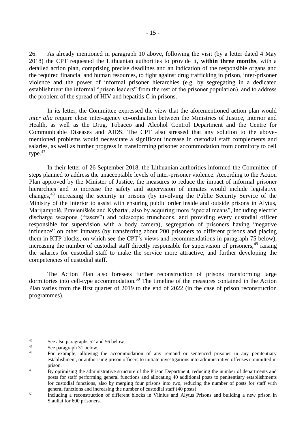26. As already mentioned in paragraph 10 above, following the visit (by a letter dated 4 May 2018) the CPT requested the Lithuanian authorities to provide it, **within three months**, with a detailed action plan, comprising precise deadlines and an indication of the responsible organs and the required financial and human resources, to fight against drug trafficking in prison, inter-prisoner violence and the power of informal prisoner hierarchies (e.g. by segregating in a dedicated establishment the informal "prison leaders" from the rest of the prisoner population), and to address the problem of the spread of HIV and hepatitis C in prisons.

In its letter, the Committee expressed the view that the aforementioned action plan would *inter alia* require close inter-agency co-ordination between the Ministries of Justice, Interior and Health, as well as the Drug, Tobacco and Alcohol Control Department and the Centre for Communicable Diseases and AIDS. The CPT also stressed that any solution to the abovementioned problems would necessitate a significant increase in custodial staff complements and salaries, as well as further progress in transforming prisoner accommodation from dormitory to cell type. $47$ 

In their letter of 26 September 2018, the Lithuanian authorities informed the Committee of steps planned to address the unacceptable levels of inter-prisoner violence. According to the Action Plan approved by the Minister of Justice, the measures to reduce the impact of informal prisoner hierarchies and to increase the safety and supervision of inmates would include legislative changes,<sup>48</sup> increasing the security in prisons (by involving the Public Security Service of the Ministry of the Interior to assist with ensuring public order inside and outside prisons in Alytus, Marijampolė, Pravieniškės and Kybartai, also by acquiring more "special means", including electric discharge weapons ("tasers") and telescopic truncheons, and providing every custodial officer responsible for supervision with a body camera), segregation of prisoners having "negative influence" on other inmates (by transferring about 200 prisoners to different prisons and placing them in KTP blocks, on which see the CPT's views and recommendations in paragraph 75 below), increasing the number of custodial staff directly responsible for supervision of prisoners,<sup>49</sup> raising the salaries for custodial staff to make the service more attractive, and further developing the competencies of custodial staff.

The Action Plan also foresees further reconstruction of prisons transforming large dormitories into cell-type accommodation.<sup>50</sup> The timeline of the measures contained in the Action Plan varies from the first quarter of 2019 to the end of 2022 (in the case of prison reconstruction programmes).

 $46$  $^{46}$  See also paragraphs 52 and 56 below.

 $\frac{47}{48}$  See paragraph 31 below.

For example, allowing the accommodation of any remand or sentenced prisoner in any penitentiary establishment, or authorising prison officers to initiate investigations into administrative offenses committed in prison.

<sup>&</sup>lt;sup>49</sup> By optimising the administrative structure of the Prison Department, reducing the number of departments and posts for staff performing general functions and allocating 40 additional posts to penitentiary establishments for custodial functions, also by merging four prisons into two, reducing the number of posts for staff with general functions and increasing the number of custodial staff (40 posts).

<sup>&</sup>lt;sup>50</sup> Including a reconstruction of different blocks in Vilnius and Alytus Prisons and building a new prison in Siauliai for 600 prisoners.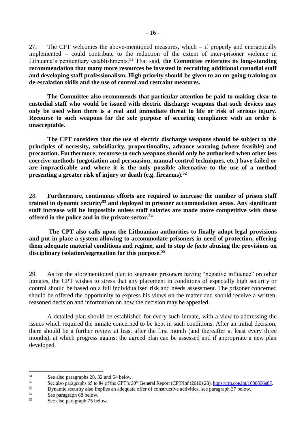27. The CPT welcomes the above-mentioned measures, which – if properly and energetically implemented – could contribute to the reduction of the extent of inter-prisoner violence in Lithuania's penitentiary establishments.<sup>51</sup> That said, **the Committee reiterates its long-standing recommendation that many more resources be invested in recruiting additional custodial staff and developing staff professionalism. High priority should be given to an on-going training on de-escalation skills and the use of control and restraint measures.**

**The Committee also recommends that particular attention be paid to making clear to custodial staff who would be issued with electric discharge weapons that such devices may only be used when there is a real and immediate threat to life or risk of serious injury. Recourse to such weapons for the sole purpose of securing compliance with an order is unacceptable.**

**The CPT considers that the use of electric discharge weapons should be subject to the principles of necessity, subsidiarity, proportionality, advance warning (where feasible) and precaution. Furthermore, recourse to such weapons should only be authorised when other less coercive methods (negotiation and persuasion, manual control techniques, etc.) have failed or are impracticable and where it is the only possible alternative to the use of a method presenting a greater risk of injury or death (e.g. firearms).<sup>52</sup>**

28. **Furthermore, continuous efforts are required to increase the number of prison staff trained in dynamic security<sup>53</sup> and deployed in prisoner accommodation areas. Any significant staff increase will be impossible unless staff salaries are made more competitive with those offered in the police and in the private sector.<sup>54</sup>**

**The CPT also calls upon the Lithuanian authorities to finally adopt legal provisions and put in place a system allowing to accommodate prisoners in need of protection, offering them adequate material conditions and regime, and to stop** *de facto* **abusing the provisions on disciplinary isolation/segregation for this purpose.<sup>55</sup>**

29. As for the aforementioned plan to segregate prisoners having "negative influence" on other inmates, the CPT wishes to stress that any placement in conditions of especially high security or control should be based on a full individualised risk and needs assessment. The prisoner concerned should be offered the opportunity to express his views on the matter and should receive a written, reasoned decision and information on how the decision may be appealed.

A detailed plan should be established for every such inmate, with a view to addressing the issues which required the inmate concerned to be kept in such conditions. After an initial decision, there should be a further review at least after the first month (and thereafter at least every three months), at which progress against the agreed plan can be assessed and if appropriate a new plan developed.

 $51$ <sup>51</sup> See also paragraphs 28, 32 and 54 below.<br> $52 \qquad$  See also paragraphs 65 to 84 of the CDT's 2

<sup>52</sup> See also paragraphs 65 to 84 of the CPT's  $20^{\text{th}}$  General Report (CPT/Inf (2010) 28),  $\frac{\text{https://rm.co.int/1680696a87}}{\text{Dumanni}}$ .

<sup>53</sup> Dynamic security also implies an adequate offer of constructive activities, see paragraph 37 below.<br>54 See paragraph 58 below.

 $55$  See paragraph 68 below.

See also paragraph 75 below.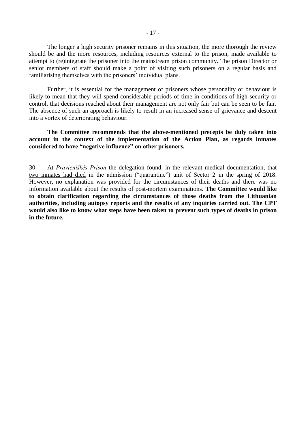The longer a high security prisoner remains in this situation, the more thorough the review should be and the more resources, including resources external to the prison, made available to attempt to (re)integrate the prisoner into the mainstream prison community. The prison Director or senior members of staff should make a point of visiting such prisoners on a regular basis and familiarising themselves with the prisoners' individual plans.

Further, it is essential for the management of prisoners whose personality or behaviour is likely to mean that they will spend considerable periods of time in conditions of high security or control, that decisions reached about their management are not only fair but can be seen to be fair. The absence of such an approach is likely to result in an increased sense of grievance and descent into a vortex of deteriorating behaviour.

**The Committee recommends that the above-mentioned precepts be duly taken into account in the context of the implementation of the Action Plan, as regards inmates considered to have "negative influence" on other prisoners.**

30. At *Pravieniškės Prison* the delegation found, in the relevant medical documentation, that two inmates had died in the admission ("quarantine") unit of Sector 2 in the spring of 2018. However, no explanation was provided for the circumstances of their deaths and there was no information available about the results of post-mortem examinations. **The Committee would like to obtain clarification regarding the circumstances of those deaths from the Lithuanian authorities, including autopsy reports and the results of any inquiries carried out. The CPT would also like to know what steps have been taken to prevent such types of deaths in prison in the future.**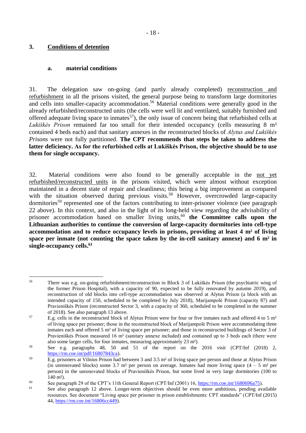## <span id="page-17-0"></span>**3. Conditions of detention**

1

#### <span id="page-17-1"></span>**a. material conditions**

31. The delegation saw on-going (and partly already completed) reconstruction and refurbishment in all the prisons visited, the general purpose being to transform large dormitories and cells into smaller-capacity accommodation. <sup>56</sup> Material conditions were generally good in the already refurbished/reconstructed units (the cells were well lit and ventilated, suitably furnished and offered adequate living space to inmates<sup>57</sup>), the only issue of concern being that refurbished cells at *Lukiškės Prison* remained far too small for their intended occupancy (cells measuring 8 m² contained 4 beds each) and that sanitary annexes in the reconstructed blocks of *Alytus and Lukiškės Prisons* were not fully partitioned. **The CPT recommends that steps be taken to address the latter deficiency. As for the refurbished cells at Lukiškės Prison, the objective should be to use them for single occupancy.**

32. Material conditions were also found to be generally acceptable in the not yet refurbished/reconstructed units in the prisons visited, which were almost without exception maintained in a decent state of repair and cleanliness; this being a big improvement as compared with the situation observed during previous visits.<sup>58</sup> However, overcrowded large-capacity dormitories<sup>59</sup> represented one of the factors contributing to inter-prisoner violence (see paragraph) 22 above). In this context, and also in the light of its long-held view regarding the advisability of prisoner accommodation based on smaller living units,<sup>60</sup> the Committee calls upon the **Lithuanian authorities to continue the conversion of large-capacity dormitories into cell-type accommodation and to reduce occupancy levels in prisons, providing at least 4 m² of living space per inmate (not counting the space taken by the in-cell sanitary annexe) and 6 m² in single-occupancy cells. 61**

<sup>56</sup> There was e.g. on-going refurbishment/reconstruction in Block 3 of Lukiškės Prison (the psychiatric wing of the former Prison Hospital), with a capacity of 90, expected to be fully renovated by autumn 2019), and reconstruction of old blocks into cell-type accommodation was observed at Alytus Prison (a block with an intended capacity of 150, scheduled to be completed by July 2018), Marijampolė Prison (capacity 87) and Pravieniškės Prison (reconstructed Sector 3, with a capacity of 360, scheduled to be completed in the summer of 2018). See also paragraph 13 above.

<sup>&</sup>lt;sup>57</sup> E.g. cells in the reconstructed block of Alytus Prison were for four or five inmates each and offered 4 to 5 m<sup>2</sup> of living space per prisoner; those in the reconstructed block of Marijampolė Prison were accommodating three inmates each and offered 5 m² of living space per prisoner; and those in reconstructed buildings of Sector 3 of Pravieniškės Prison measured 16 m² (sanitary annexe included) and contained up to 3 beds each (there were also some larger cells, for four inmates, measuring approximately 23 m²).

<sup>58</sup> See e.g. paragraphs 48, 50 and 51 of the report on the 2016 visit (CPT/Inf (2018) 2, [https://rm.coe.int/pdf/16807843ca\)](https://rm.coe.int/pdf/16807843ca).

 $\overline{E.g.}$  prisoners at Vilnius Prison had between 3 and 3.5 m<sup>2</sup> of living space per person and those at Alytus Prison (in unrenovated blocks) some 3.7 m<sup>2</sup> per person on average. Inmates had more living space  $(4 - 5 \text{ m}^2 \text{ per})$ person) in the unrenovated blocks of Pravieniškės Prison, but some lived in very large dormitories (100 to 140 m²).

<sup>&</sup>lt;sup>60</sup> See paragraph 29 of the CPT's 11th General Report (CPT/Inf (2001) 16,  $\frac{https://rm.co.int/1680696a75)}{https://rm.co.int/1680696a75)}$ .

See also paragraph 12 above. Longer-term objectives should be even more ambitious, pending available resources. See document "Living space per prisoner in prison establishments: CPT standards" (CPT/Inf (2015) 44[, https://rm.coe.int/16806cc449\)](https://rm.coe.int/16806cc449).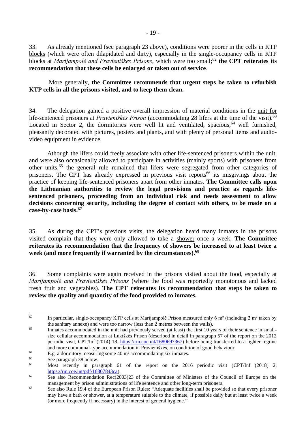33. As already mentioned (see paragraph 23 above), conditions were poorer in the cells in KTP blocks (which were often dilapidated and dirty), especially in the single-occupancy cells in KTP blocks at *Marijampolė and Pravieniškės Prisons*, which were too small; <sup>62</sup> **the CPT reiterates its recommendation that these cells be enlarged or taken out of service**.

More generally, **the Committee recommends that urgent steps be taken to refurbish KTP cells in all the prisons visited, and to keep them clean.**

34. The delegation gained a positive overall impression of material conditions in the unit for life-sentenced prisoners at *Pravieniškės Prison* (accommodating 28 lifers at the time of the visit). 63 Located in Sector 2, the dormitories were well lit and ventilated, spacious,  $64$  well furnished, pleasantly decorated with pictures, posters and plants, and with plenty of personal items and audiovideo equipment in evidence.

Athough the lifers could freely associate with other life-sentenced prisoners within the unit, and were also occasionally allowed to participate in activities (mainly sports) with prisoners from other units,<sup>65</sup> the general rule remained that lifers were segregated from other categories of prisoners. The CPT has already expressed in previous visit reports<sup>66</sup> its misgivings about the practice of keeping life-sentenced prisoners apart from other inmates. **The Committee calls upon the Lithuanian authorities to review the legal provisions and practice as regards lifesentenced prisoners, proceeding from an individual risk and needs assessment to allow decisions concerning security, including the degree of contact with others, to be made on a case-by-case basis.<sup>67</sup>**

35. As during the CPT's previous visits, the delegation heard many inmates in the prisons visited complain that they were only allowed to take a shower once a week. **The Committee reiterates its recommendation that the frequency of showers be increased to at least twice a week (and more frequently if warranted by the circumstances). 68**

36. Some complaints were again received in the prisons visited about the food, especially at *Marijampolė and Pravieniškės Prisons* (where the food was reportedly monotonous and lacked fresh fruit and vegetables). **The CPT reiterates its recommendation that steps be taken to review the quality and quantity of the food provided to inmates.** 

<sup>62</sup> In particular, single-occupancy KTP cells at Marijampolė Prison measured only 6 m<sup>2</sup> (including 2 m<sup>2</sup> taken by the sanitary annexe) and were too narrow (less than 2 metres between the walls).

<sup>&</sup>lt;sup>63</sup> Inmates accommodated in the unit had previously served (at least) the first 10 years of their sentence in smallsize cellular accommodation at Lukiškės Prison (described in detail in paragraph 57 of the report on the 2012 periodic visit, CPT/Inf (2014) 18, [https://rm.coe.int/1680697367\)](https://rm.coe.int/1680697367) before being transferred to a lighter regime and more communal-type accommodation in Pravieniškės, on condition of good behaviour.

<sup>&</sup>lt;sup>64</sup> E.g. a dormitory measuring some 40 m<sup>2</sup> accommodating six inmates.<br><sup>65</sup> See nonegraph 28 helow.

 $\frac{65}{66}$  See paragraph 38 below.

<sup>66</sup> Most recently in paragraph 61 of the report on the 2016 periodic visit (CPT/Inf (2018) 2, [https://rm.coe.int/pdf/16807843ca\)](https://rm.coe.int/pdf/16807843ca).

<sup>&</sup>lt;sup>67</sup> See also Recommendation Rec(2003)23 of the Committee of Ministers of the Council of Europe on the management by prison administrations of life sentence and other long-term prisoners.

<sup>&</sup>lt;sup>68</sup> See also Rule 19.4 of the European Prison Rules: "Adequate facilities shall be provided so that every prisoner may have a bath or shower, at a temperature suitable to the climate, if possible daily but at least twice a week (or more frequently if necessary) in the interest of general hygiene."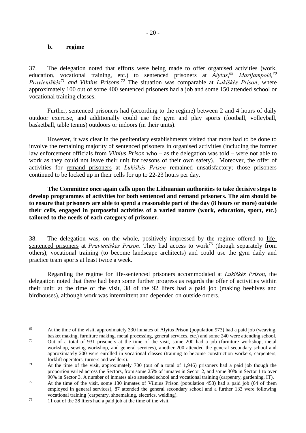#### <span id="page-19-0"></span>**b. regime**

37. The delegation noted that efforts were being made to offer organised activities (work, education, vocational training, etc.) to sentenced prisoners at *Alytus,<sup>69</sup> Marijampolė,<sup>70</sup> Pravieniškės<sup>71</sup> and Vilnius Prisons*. <sup>72</sup> The situation was comparable at *Lukiškės Prison*, where approximately 100 out of some 400 sentenced prisoners had a job and some 150 attended school or vocational training classes.

Further, sentenced prisoners had (according to the regime) between 2 and 4 hours of daily outdoor exercise, and additionally could use the gym and play sports (football, volleyball, basketball, table tennis) outdoors or indoors (in their units).

However, it was clear in the penitentiary establishments visited that more had to be done to involve the remaining majority of sentenced prisoners in organised activities (including the former law enforcement officials from *Vilnius Prison* who – as the delegation was told – were not able to work as they could not leave their unit for reasons of their own safety). Moreover, the offer of activities for remand prisoners at *Lukiškės Prison* remained unsatisfactory; those prisoners continued to be locked up in their cells for up to 22-23 hours per day.

**The Committee once again calls upon the Lithuanian authorities to take decisive steps to develop programmes of activities for both sentenced and remand prisoners. The aim should be to ensure that prisoners are able to spend a reasonable part of the day (8 hours or more) outside their cells, engaged in purposeful activities of a varied nature (work, education, sport, etc.) tailored to the needs of each category of prisoner.**

38. The delegation was, on the whole, positively impressed by the regime offered to lifesentenced prisoners at *Pravieniškės Prison*. They had access to work<sup>73</sup> (though separately from others), vocational training (to become landscape architects) and could use the gym daily and practice team sports at least twice a week.

Regarding the regime for life-sentenced prisoners accommodated at *Lukiškės Prison*, the delegation noted that there had been some further progress as regards the offer of activities within their unit: at the time of the visit, 38 of the 92 lifers had a paid job (making beehives and birdhouses), although work was intermittent and depended on outside orders.

<sup>1</sup> <sup>69</sup> At the time of the visit, approximately 330 inmates of Alytus Prison (population 973) had a paid job (weaving, basket making, furniture making, metal processing, general services, etc.) and some 240 were attending school.

<sup>70</sup> Out of a total of 931 prisoners at the time of the visit, some 200 had a job (furniture workshop, metal workshop, sewing workshop, and general services), another 200 attended the general secondary school and approximately 200 were enrolled in vocational classes (training to become construction workers, carpenters, forklift operators, turners and welders).

<sup>71</sup> At the time of the visit, approximately 700 (out of a total of 1,946) prisoners had a paid job though the proportion varied across the Sectors, from some 25% of inmates in Sector 2, and some 30% in Sector 1 to over 90% in Sector 3. A number of inmates also attended school and vocational training (carpentry, gardening, IT).

<sup>&</sup>lt;sup>72</sup> At the time of the visit, some 130 inmates of Vilnius Prison (population 453) had a paid job (64 of them employed in general services), 87 attended the general secondary school and a further 133 were following vocational training (carpentry, shoemaking, electrics, welding).

<sup>73</sup> 11 out of the 28 lifers had a paid job at the time of the visit.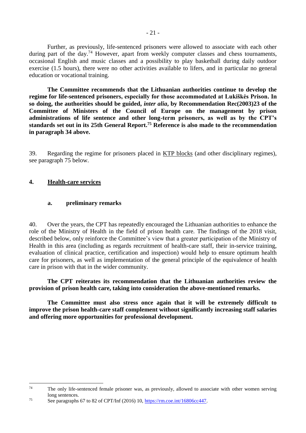Further, as previously, life-sentenced prisoners were allowed to associate with each other during part of the day.<sup>74</sup> However, apart from weekly computer classes and chess tournaments, occasional English and music classes and a possibility to play basketball during daily outdoor exercise (1.5 hours), there were no other activities available to lifers, and in particular no general education or vocational training.

**The Committee recommends that the Lithuanian authorities continue to develop the regime for life-sentenced prisoners, especially for those accommodated at Lukiškės Prison. In so doing, the authorities should be guided,** *inter alia***, by Recommendation Rec(2003)23 of the Committee of Ministers of the Council of Europe on the management by prison administrations of life sentence and other long-term prisoners, as well as by the CPT's standards set out in its 25th General Report.<sup>75</sup> Reference is also made to the recommendation in paragraph 34 above.**

39. Regarding the regime for prisoners placed in KTP blocks (and other disciplinary regimes), see paragraph 75 below.

## <span id="page-20-0"></span>**4. Health-care services**

1

#### <span id="page-20-1"></span>**a. preliminary remarks**

40. Over the years, the CPT has repeatedly encouraged the Lithuanian authorities to enhance the role of the Ministry of Health in the field of prison health care. The findings of the 2018 visit, described below, only reinforce the Committee's view that a greater participation of the Ministry of Health in this area (including as regards recruitment of health-care staff, their in-service training, evaluation of clinical practice, certification and inspection) would help to ensure optimum health care for prisoners, as well as implementation of the general principle of the equivalence of health care in prison with that in the wider community.

**The CPT reiterates its recommendation that the Lithuanian authorities review the provision of prison health care, taking into consideration the above-mentioned remarks.** 

**The Committee must also stress once again that it will be extremely difficult to improve the prison health-care staff complement without significantly increasing staff salaries and offering more opportunities for professional development.**

<sup>&</sup>lt;sup>74</sup> The only life-sentenced female prisoner was, as previously, allowed to associate with other women serving long sentences.

<sup>75</sup> See paragraphs 67 to 82 of CPT/Inf (2016) 10, [https://rm.coe.int/16806cc447.](https://rm.coe.int/16806cc447)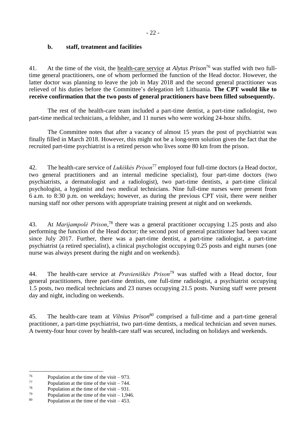## <span id="page-21-0"></span>**b. staff, treatment and facilities**

41. At the time of the visit, the health-care service at *Alytus Prison*<sup>76</sup> was staffed with two fulltime general practitioners, one of whom performed the function of the Head doctor. However, the latter doctor was planning to leave the job in May 2018 and the second general practitioner was relieved of his duties before the Committee's delegation left Lithuania. **The CPT would like to receive confirmation that the two posts of general practitioners have been filled subsequently.**

The rest of the health-care team included a part-time dentist, a part-time radiologist, two part-time medical technicians, a feldsher, and 11 nurses who were working 24-hour shifts.

The Committee notes that after a vacancy of almost 15 years the post of psychiatrist was finally filled in March 2018. However, this might not be a long-term solution given the fact that the recruited part-time psychiatrist is a retired person who lives some 80 km from the prison.

42. The health-care service of *Lukiškės Prison*<sup>77</sup> employed four full-time doctors (a Head doctor, two general practitioners and an internal medicine specialist), four part-time doctors (two psychiatrists, a dermatologist and a radiologist), two part-time dentists, a part-time clinical psychologist, a hygienist and two medical technicians. Nine full-time nurses were present from 6 a.m. to 8:30 p.m. on weekdays; however, as during the previous CPT visit, there were neither nursing staff nor other persons with appropriate training present at night and on weekends.

43. At *Marijampolė Prison,* <sup>78</sup> there was a general practitioner occupying 1.25 posts and also performing the function of the Head doctor; the second post of general practitioner had been vacant since July 2017. Further, there was a part-time dentist, a part-time radiologist, a part-time psychiatrist (a retired specialist), a clinical psychologist occupying 0.25 posts and eight nurses (one nurse was always present during the night and on weekends).

44. The health-care service at *Pravieniškės Prison*<sup>79</sup> was staffed with a Head doctor, four general practitioners, three part-time dentists, one full-time radiologist, a psychiatrist occupying 1.5 posts, two medical technicians and 23 nurses occupying 21.5 posts. Nursing staff were present day and night, including on weekends.

45. The health-care team at *Vilnius Prison<sup>80</sup>* comprised a full-time and a part-time general practitioner, a part-time psychiatrist, two part-time dentists, a medical technician and seven nurses. A twenty-four hour cover by health-care staff was secured, including on holidays and weekends.

<sup>76</sup> <sup>76</sup> Population at the time of the visit – 973.<br>Population at the time of the visit – 744

 $^{77}$  Population at the time of the visit – 744.<br>  $^{78}$  Population at the time of the visit – 0.21

<sup>&</sup>lt;sup>78</sup> Population at the time of the visit – 931.<br><sup>79</sup> Population at the time of the visit – 1.04th

<sup>&</sup>lt;sup>79</sup> Population at the time of the visit – 1,946.<br><sup>80</sup> Population at the time of the visit – 453.

Population at the time of the visit  $-453$ .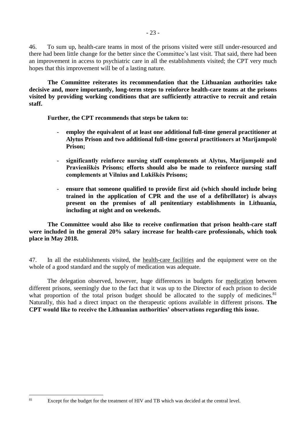46. To sum up, health-care teams in most of the prisons visited were still under-resourced and there had been little change for the better since the Committee's last visit. That said, there had been an improvement in access to psychiatric care in all the establishments visited; the CPT very much hopes that this improvement will be of a lasting nature.

**The Committee reiterates its recommendation that the Lithuanian authorities take decisive and, more importantly, long-term steps to reinforce health-care teams at the prisons visited by providing working conditions that are sufficiently attractive to recruit and retain staff.**

**Further, the CPT recommends that steps be taken to:**

- **employ the equivalent of at least one additional full-time general practitioner at Alytus Prison and two additional full-time general practitioners at Marijampolė Prison;**
- **significantly reinforce nursing staff complements at Alytus, Marijampolė and Pravieniškės Prisons; efforts should also be made to reinforce nursing staff complements at Vilnius and Lukiškės Prisons;**
- **ensure that someone qualified to provide first aid (which should include being trained in the application of CPR and the use of a defibrillator) is always present on the premises of all penitentiary establishments in Lithuania, including at night and on weekends.**

**The Committee would also like to receive confirmation that prison health-care staff were included in the general 20% salary increase for health-care professionals, which took place in May 2018.** 

47. In all the establishments visited, the health-care facilities and the equipment were on the whole of a good standard and the supply of medication was adequate.

The delegation observed, however, huge differences in budgets for medication between different prisons, seemingly due to the fact that it was up to the Director of each prison to decide what proportion of the total prison budget should be allocated to the supply of medicines.<sup>81</sup> Naturally, this had a direct impact on the therapeutic options available in different prisons. **The CPT would like to receive the Lithuanian authorities' observations regarding this issue.** 

<sup>&</sup>lt;sup>81</sup> Except for the budget for the treatment of HIV and TB which was decided at the central level.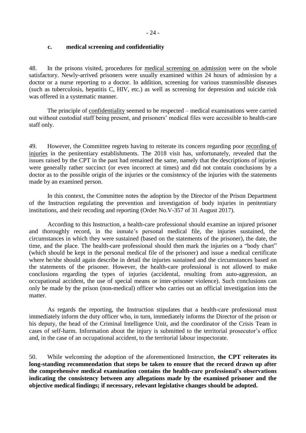#### <span id="page-23-0"></span>**c. medical screening and confidentiality**

48. In the prisons visited, procedures for medical screening on admission were on the whole satisfactory. Newly-arrived prisoners were usually examined within 24 hours of admission by a doctor or a nurse reporting to a doctor. In addition, screening for various transmissible diseases (such as tuberculosis, hepatitis C, HIV, etc.) as well as screening for depression and suicide risk was offered in a systematic manner.

The principle of confidentiality seemed to be respected – medical examinations were carried out without custodial staff being present, and prisoners' medical files were accessible to health-care staff only.

49. However, the Committee regrets having to reiterate its concern regarding poor recording of injuries in the penitentiary establishments. The 2018 visit has, unfortunately, revealed that the issues raised by the CPT in the past had remained the same, namely that the descriptions of injuries were generally rather succinct (or even incorrect at times) and did not contain conclusions by a doctor as to the possible origin of the injuries or the consistency of the injuries with the statements made by an examined person.

In this context, the Committee notes the adoption by the Director of the Prison Department of the Instruction regulating the prevention and investigation of body injuries in penitentiary institutions, and their recoding and reporting (Order No.V-357 of 31 August 2017).

According to this Instruction, a health-care professional should examine an injured prisoner and thoroughly record, in the inmate's personal medical file, the injuries sustained, the circumstances in which they were sustained (based on the statements of the prisoner), the date, the time, and the place. The health-care professional should then mark the injuries on a "body chart" (which should be kept in the personal medical file of the prisoner) and issue a medical certificate where he/she should again describe in detail the injuries sustained and the circumstances based on the statements of the prisoner. However, the health-care professional is not allowed to make conclusions regarding the types of injuries (accidental, resulting from auto-aggression, an occupational accident, the use of special means or inter-prisoner violence). Such conclusions can only be made by the prison (non-medical) officer who carries out an official investigation into the matter.

As regards the reporting, the Instruction stipulates that a health-care professional must immediately inform the duty officer who, in turn, immediately informs the Director of the prison or his deputy, the head of the Criminal Intelligence Unit, and the coordinator of the Crisis Team in cases of self-harm. Information about the injury is submitted to the territorial prosecutor's office and, in the case of an occupational accident, to the territorial labour inspectorate.

50. While welcoming the adoption of the aforementioned Instruction, **the CPT reiterates its long-standing recommendation that steps be taken to ensure that the record drawn up after the comprehensive medical examination contains the health-care professional's observations indicating the consistency between any allegations made by the examined prisoner and the objective medical findings; if necessary, relevant legislative changes should be adopted.**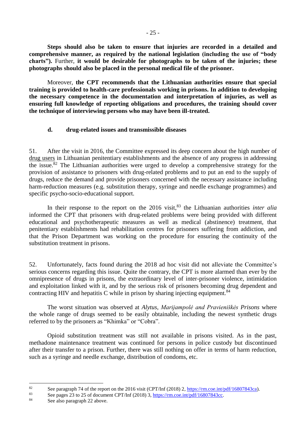**Steps should also be taken to ensure that injuries are recorded in a detailed and comprehensive manner, as required by the national legislation (including the use of "body charts").** Further, **it would be desirable for photographs to be taken of the injuries; these photographs should also be placed in the personal medical file of the prisoner.**

Moreover, **the CPT recommends that the Lithuanian authorities ensure that special training is provided to health-care professionals working in prisons. In addition to developing the necessary competence in the documentation and interpretation of injuries, as well as ensuring full knowledge of reporting obligations and procedures, the training should cover the technique of interviewing persons who may have been ill-treated.**

## <span id="page-24-0"></span>**d. drug-related issues and transmissible diseases**

51. After the visit in 2016, the Committee expressed its deep concern about the high number of drug users in Lithuanian penitentiary establishments and the absence of any progress in addressing the issue.<sup>82</sup> The Lithuanian authorities were urged to develop a comprehensive strategy for the provision of assistance to prisoners with drug-related problems and to put an end to the supply of drugs, reduce the demand and provide prisoners concerned with the necessary assistance including harm-reduction measures (e.g. substitution therapy, syringe and needle exchange programmes) and specific psycho-socio-educational support.

In their response to the report on the 2016 visit, <sup>83</sup> the Lithuanian authorities *inter alia* informed the CPT that prisoners with drug-related problems were being provided with different educational and psychotherapeutic measures as well as medical (abstinence) treatment, that penitentiary establishments had rehabilitation centres for prisoners suffering from addiction, and that the Prison Department was working on the procedure for ensuring the continuity of the substitution treatment in prisons.

52. Unfortunately, facts found during the 2018 ad hoc visit did not alleviate the Committee's serious concerns regarding this issue. Quite the contrary, the CPT is more alarmed than ever by the omnipresence of drugs in prisons, the extraordinary level of inter-prisoner violence, intimidation and exploitation linked with it, and by the serious risk of prisoners becoming drug dependent and contracting HIV and hepatitis C while in prison by sharing injecting equipment.<sup>84</sup>

The worst situation was observed at *Alytus, Marijampolė and Pravieniškės Prisons* where the whole range of drugs seemed to be easily obtainable, including the newest synthetic drugs referred to by the prisoners as "Khimka" or "Cobra".

Opioid substitution treatment was still not available in prisons visited. As in the past, methadone maintenance treatment was continued for persons in police custody but discontinued after their transfer to a prison. Further, there was still nothing on offer in terms of harm reduction, such as a syringe and needle exchange, distribution of condoms, etc.

<sup>&</sup>lt;sup>82</sup> See paragraph 74 of the report on the 2016 visit (CPT/Inf (2018) 2,  $\frac{https://rm.coe.int/pdf/16807843ca)}{83}$ .

<sup>&</sup>lt;sup>83</sup> See pages 23 to 25 of document CPT/Inf (2018) 3,  $\frac{https://rm.coe.int/pdf/16807843cc}{https://rm.coe.int/pdf/16807843cc}.$ 

See also paragraph 22 above.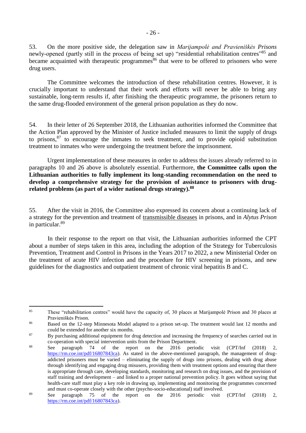53. On the more positive side, the delegation saw in *Marijampolė and Pravieniškės Prisons* newly-opened (partly still in the process of being set up) "residential rehabilitation centres"<sup>85</sup> and became acquainted with therapeutic programmes<sup>86</sup> that were to be offered to prisoners who were drug users.

The Committee welcomes the introduction of these rehabilitation centres. However, it is crucially important to understand that their work and efforts will never be able to bring any sustainable, long-term results if, after finishing the therapeutic programme, the prisoners return to the same drug-flooded environment of the general prison population as they do now.

54. In their letter of 26 September 2018, the Lithuanian authorities informed the Committee that the Action Plan approved by the Minister of Justice included measures to limit the supply of drugs to prisons, $87$  to encourage the inmates to seek treatment, and to provide opioid substitution treatment to inmates who were undergoing the treatment before the imprisonment.

Urgent implementation of these measures in order to address the issues already referred to in paragraphs 10 and 26 above is absolutely essential. Furthermore, **the Committee calls upon the Lithuanian authorities to fully implement its long-standing recommendation on the need to develop a comprehensive strategy for the provision of assistance to prisoners with drugrelated problems (as part of a wider national drugs strategy).<sup>88</sup>**

55. After the visit in 2016, the Committee also expressed its concern about a continuing lack of a strategy for the prevention and treatment of transmissible diseases in prisons, and in *Alytus Prison* in particular.<sup>89</sup>

In their response to the report on that visit, the Lithuanian authorities informed the CPT about a number of steps taken in this area, including the adoption of the Strategy for Tuberculosis Prevention, Treatment and Control in Prisons in the Years 2017 to 2022, a new Ministerial Order on the treatment of acute HIV infection and the procedure for HIV screening in prisons, and new guidelines for the diagnostics and outpatient treatment of chronic viral hepatitis B and C.

<sup>85</sup> <sup>85</sup> These "rehabilitation centres" would have the capacity of, 30 places at Marijampolė Prison and 30 places at Pravieniškės Prison.

<sup>&</sup>lt;sup>86</sup> Based on the 12-step Minnesota Model adapted to a prison set-up. The treatment would last 12 months and could be extended for another six months.

<sup>&</sup>lt;sup>87</sup> By purchasing additional equipment for drug detection and increasing the frequency of searches carried out in co-operation with special intervention units from the Prison Department.

<sup>&</sup>lt;sup>88</sup> See paragraph 74 of the report on the 2016 periodic visit (CPT/Inf (2018) 2, [https://rm.coe.int/pdf/16807843ca\)](https://rm.coe.int/pdf/16807843ca). As stated in the above-mentioned paragraph, the management of drugaddicted prisoners must be varied – eliminating the supply of drugs into prisons, dealing with drug abuse through identifying and engaging drug misusers, providing them with treatment options and ensuring that there is appropriate through care, developing standards, monitoring and research on drug issues, and the provision of staff training and development – and linked to a proper national prevention policy. It goes without saying that health-care staff must play a key role in drawing up, implementing and monitoring the programmes concerned and must co-operate closely with the other (psycho-socio-educational) staff involved.

<sup>&</sup>lt;sup>89</sup> See paragraph 75 of the report on the 2016 periodic visit (CPT/Inf (2018) 2, [https://rm.coe.int/pdf/16807843ca\)](https://rm.coe.int/pdf/16807843ca).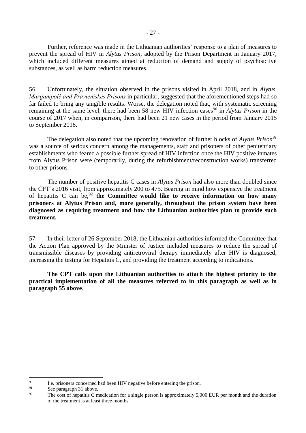Further, reference was made in the Lithuanian authorities' response to a plan of measures to prevent the spread of HIV in *Alytus Prison*, adopted by the Prison Department in January 2017, which included different measures aimed at reduction of demand and supply of psychoactive substances, as well as harm reduction measures.

56. Unfortunately, the situation observed in the prisons visited in April 2018, and in *Alytus, Marijampolė and Pravieniškės Prisons* in particular, suggested that the aforementioned steps had so far failed to bring any tangible results. Worse, the delegation noted that, with systematic screening remaining at the same level, there had been 58 new HIV infection cases<sup>90</sup> in *Alytus Prison* in the course of 2017 when, in comparison, there had been 21 new cases in the period from January 2015 to September 2016.

The delegation also noted that the upcoming renovation of further blocks of *Alytus Prison<sup>91</sup>* was a source of serious concern among the managements, staff and prisoners of other penitentiary establishments who feared a possible further spread of HIV infection once the HIV positive inmates from Alytus Prison were (temporarily, during the refurbishment/reconstruction works) transferred to other prisons.

The number of positive hepatitis C cases in *Alytus Prison* had also more than doubled since the CPT's 2016 visit, from approximately 200 to 475. Bearing in mind how expensive the treatment of hepatitis C can be, <sup>92</sup> **the Committee would like to receive information on how many prisoners at Alytus Prison and, more generally, throughout the prison system have been diagnosed as requiring treatment and how the Lithuanian authorities plan to provide such treatment.**

57. In their letter of 26 September 2018, the Lithuanian authorities informed the Committee that the Action Plan approved by the Minister of Justice included measures to reduce the spread of transmissible diseases by providing antiretroviral therapy immediately after HIV is diagnosed, increasing the testing for Hepatitis C, and providing the treatment according to indications.

**The CPT calls upon the Lithuanian authorities to attach the highest priority to the practical implementation of all the measures referred to in this paragraph as well as in paragraph 55 above**.

<sup>&</sup>lt;sup>90</sup> I.e. prisoners concerned had been HIV negative before entering the prison.<br>See negative  $\frac{91}{20}$ 

<sup>&</sup>lt;sup>91</sup> See paragraph 31 above.<br><sup>92</sup> The sect of banatitie C m

The cost of hepatitis C medication for a single person is approximately 5,000 EUR per month and the duration of the treatment is at least three months.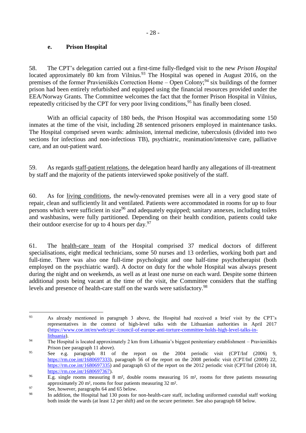### <span id="page-27-0"></span>**e. Prison Hospital**

58. The CPT's delegation carried out a first-time fully-fledged visit to the new *Prison Hospital* located approximately 80 km from Vilnius.<sup>93</sup> The Hospital was opened in August 2016, on the premises of the former Pravieniškės Correction Home – Open Colony;<sup>94</sup> six buildings of the former prison had been entirely refurbished and equipped using the financial resources provided under the EEA/Norway Grants. The Committee welcomes the fact that the former Prison Hospital in Vilnius, repeatedly criticised by the CPT for very poor living conditions,<sup>95</sup> has finally been closed.

With an official capacity of 180 beds, the Prison Hospital was accommodating some 150 inmates at the time of the visit, including 28 sentenced prisoners employed in maintenance tasks. The Hospital comprised seven wards: admission, internal medicine, tuberculosis (divided into two sections for infectious and non-infectious TB), psychiatric, reanimation/intensive care, palliative care, and an out-patient ward.

59. As regards staff-patient relations, the delegation heard hardly any allegations of ill-treatment by staff and the majority of the patients interviewed spoke positively of the staff.

60. As for living conditions, the newly-renovated premises were all in a very good state of repair, clean and sufficiently lit and ventilated. Patients were accommodated in rooms for up to four persons which were sufficient in size<sup>96</sup> and adequately equipped; sanitary annexes, including toilets and washbasins, were fully partitioned. Depending on their health condition, patients could take their outdoor exercise for up to 4 hours per day. $97$ 

61. The health-care team of the Hospital comprised 37 medical doctors of different specialisations, eight medical technicians, some 50 nurses and 13 orderlies, working both part and full-time. There was also one full-time psychologist and one half-time psychotherapist (both employed on the psychiatric ward). A doctor on duty for the whole Hospital was always present during the night and on weekends, as well as at least one nurse on each ward. Despite some thirteen additional posts being vacant at the time of the visit, the Committee considers that the staffing levels and presence of health-care staff on the wards were satisfactory.<sup>98</sup>

<sup>93</sup> As already mentioned in paragraph 3 above, the Hospital had received a brief visit by the CPT's representatives in the context of high-level talks with the Lithuanian authorities in April 2017 [\(https://www.coe.int/en/web/cpt/-/council-of-europe-anti-torture-committee-holds-high-level-talks-in](https://www.coe.int/en/web/cpt/-/council-of-europe-anti-torture-committee-holds-high-level-talks-in-lithuania)[lithuania\)](https://www.coe.int/en/web/cpt/-/council-of-europe-anti-torture-committee-holds-high-level-talks-in-lithuania).

<sup>94</sup> The Hospital is located approximately 2 km from Lithuania's biggest penitentiary establishment – Pravieniškės Prison (see paragraph 11 above).

<sup>95</sup> See e.g. paragraph 81 of the report on the 2004 periodic visit (CPT/Inf (2006) 9, [https://rm.coe.int/1680697333\)](https://rm.coe.int/1680697333), paragraph 56 of the report on the 2008 periodic visit (CPT/Inf (2009) 22, [https://rm.coe.int/1680697335\)](https://rm.coe.int/1680697335) and paragraph 63 of the report on the 2012 periodic visit (CPT/Inf (2014) 18, [https://rm.coe.int/1680697367\)](https://rm.coe.int/1680697367).

<sup>&</sup>lt;sup>96</sup> E.g. single rooms measuring 8 m<sup>2</sup>, double rooms measuring 16 m<sup>2</sup>, rooms for three patients measuring approximately 20 m², rooms for four patients measuring 32 m².

 $^{97}$  See, however, paragraphs 64 and 65 below.

<sup>98</sup> In addition, the Hospital had 130 posts for non-health-care staff, including uniformed custodial staff working both inside the wards (at least 12 per shift) and on the secure perimeter. See also paragraph 68 below.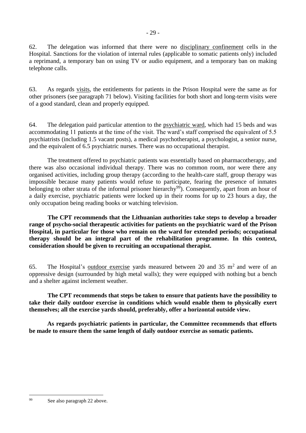62. The delegation was informed that there were no disciplinary confinement cells in the Hospital. Sanctions for the violation of internal rules (applicable to somatic patients only) included a reprimand, a temporary ban on using TV or audio equipment, and a temporary ban on making telephone calls.

63. As regards visits, the entitlements for patients in the Prison Hospital were the same as for other prisoners (see paragraph 71 below). Visiting facilities for both short and long-term visits were of a good standard, clean and properly equipped.

64. The delegation paid particular attention to the psychiatric ward, which had 15 beds and was accommodating 11 patients at the time of the visit. The ward's staff comprised the equivalent of 5.5 psychiatrists (including 1.5 vacant posts), a medical psychotherapist, a psychologist, a senior nurse, and the equivalent of 6.5 psychiatric nurses. There was no occupational therapist.

The treatment offered to psychiatric patients was essentially based on pharmacotherapy, and there was also occasional individual therapy. There was no common room, nor were there any organised activities, including group therapy (according to the health-care staff, group therapy was impossible because many patients would refuse to participate, fearing the presence of inmates belonging to other strata of the informal prisoner hierarchy<sup>99</sup>). Consequently, apart from an hour of a daily exercise, psychiatric patients were locked up in their rooms for up to 23 hours a day, the only occupation being reading books or watching television.

**The CPT recommends that the Lithuanian authorities take steps to develop a broader range of psycho-social therapeutic activities for patients on the psychiatric ward of the Prison Hospital, in particular for those who remain on the ward for extended periods; occupational therapy should be an integral part of the rehabilitation programme. In this context, consideration should be given to recruiting an occupational therapist.**

65. The Hospital's outdoor exercise yards measured between 20 and 35  $m<sup>2</sup>$  and were of an oppressive design (surrounded by high metal walls); they were equipped with nothing but a bench and a shelter against inclement weather.

**The CPT recommends that steps be taken to ensure that patients have the possibility to take their daily outdoor exercise in conditions which would enable them to physically exert themselves; all the exercise yards should, preferably, offer a horizontal outside view.**

**As regards psychiatric patients in particular, the Committee recommends that efforts be made to ensure them the same length of daily outdoor exercise as somatic patients.**

<sup>99</sup> See also paragraph 22 above.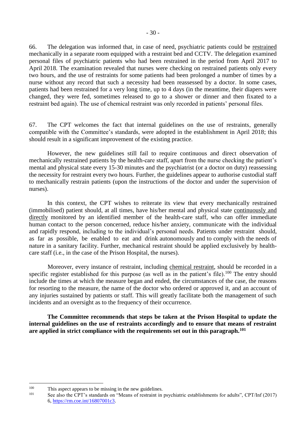66. The delegation was informed that, in case of need, psychiatric patients could be restrained mechanically in a separate room equipped with a restraint bed and CCTV. The delegation examined personal files of psychiatric patients who had been restrained in the period from April 2017 to April 2018. The examination revealed that nurses were checking on restrained patients only every two hours, and the use of restraints for some patients had been prolonged a number of times by a nurse without any record that such a necessity had been reassessed by a doctor. In some cases, patients had been restrained for a very long time, up to 4 days (in the meantime, their diapers were changed, they were fed, sometimes released to go to a shower or dinner and then fixated to a restraint bed again). The use of chemical restraint was only recorded in patients' personal files.

67. The CPT welcomes the fact that internal guidelines on the use of restraints, generally compatible with the Committee's standards, were adopted in the establishment in April 2018; this should result in a significant improvement of the existing practice.

However, the new guidelines still fail to require continuous and direct observation of mechanically restrained patients by the health-care staff, apart from the nurse checking the patient's mental and physical state every 15-30 minutes and the psychiatrist (or a doctor on duty) reassessing the necessity for restraint every two hours. Further, the guidelines appear to authorise custodial staff to mechanically restrain patients (upon the instructions of the doctor and under the supervision of nurses).

In this context, the CPT wishes to reiterate its view that every mechanically restrained (immobilised) patient should, at all times, have his/her mental and physical state continuously and directly monitored by an identified member of the health-care staff, who can offer immediate human contact to the person concerned, reduce his/her anxiety, communicate with the individual and rapidly respond, including to the individual's personal needs. Patients under restraint should, as far as possible, be enabled to eat and drink autonomously and to comply with the needs of nature in a sanitary facility. Further, mechanical restraint should be applied exclusively by healthcare staff (i.e., in the case of the Prison Hospital, the nurses).

Moreover, every instance of restraint, including chemical restraint, should be recorded in a specific register established for this purpose (as well as in the patient's file).<sup>100</sup> The entry should include the times at which the measure began and ended, the circumstances of the case, the reasons for resorting to the measure, the name of the doctor who ordered or approved it, and an account of any injuries sustained by patients or staff. This will greatly facilitate both the management of such incidents and an oversight as to the frequency of their occurrence.

**The Committee recommends that steps be taken at the Prison Hospital to update the internal guidelines on the use of restraints accordingly and to ensure that means of restraint are applied in strict compliance with the requirements set out in this paragraph.<sup>101</sup>** 

<sup>&</sup>lt;sup>100</sup> This aspect appears to be missing in the new guidelines.<br><sup>101</sup> See also the CBT's standards an "Magna of restraint in

See also the CPT's standards on "Means of restraint in psychiatric establishments for adults", CPT/Inf (2017) 6[, https://rm.coe.int/16807001c3.](https://rm.coe.int/16807001c3)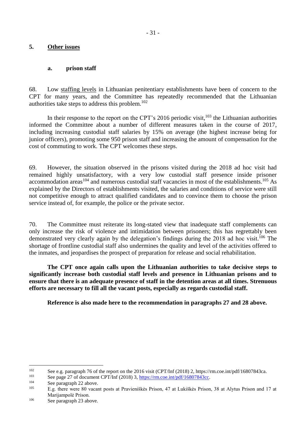## <span id="page-30-0"></span>**5. Other issues**

#### <span id="page-30-1"></span>**a. prison staff**

68. Low staffing levels in Lithuanian penitentiary establishments have been of concern to the CPT for many years, and the Committee has repeatedly recommended that the Lithuanian authorities take steps to address this problem.<sup>102</sup>

In their response to the report on the CPT's 2016 periodic visit,  $^{103}$  the Lithuanian authorities informed the Committee about a number of different measures taken in the course of 2017, including increasing custodial staff salaries by 15% on average (the highest increase being for junior officers), promoting some 950 prison staff and increasing the amount of compensation for the cost of commuting to work. The CPT welcomes these steps.

69. However, the situation observed in the prisons visited during the 2018 ad hoc visit had remained highly unsatisfactory, with a very low custodial staff presence inside prisoner accommodation areas<sup>104</sup> and numerous custodial staff vacancies in most of the establishments.<sup>105</sup> As explained by the Directors of establishments visited, the salaries and conditions of service were still not competitive enough to attract qualified candidates and to convince them to choose the prison service instead of, for example, the police or the private sector.

70. The Committee must reiterate its long-stated view that inadequate staff complements can only increase the risk of violence and intimidation between prisoners; this has regrettably been demonstrated very clearly again by the delegation's findings during the 2018 ad hoc visit.<sup>106</sup> The shortage of frontline custodial staff also undermines the quality and level of the activities offered to the inmates, and jeopardises the prospect of preparation for release and social rehabilitation.

**The CPT once again calls upon the Lithuanian authorities to take decisive steps to significantly increase both custodial staff levels and presence in Lithuanian prisons and to ensure that there is an adequate presence of staff in the detention areas at all times. Strenuous efforts are necessary to fill all the vacant posts, especially as regards custodial staff.**

**Reference is also made here to the recommendation in paragraphs 27 and 28 above.**

<sup>&</sup>lt;sup>102</sup> See e.g. paragraph 76 of the report on the 2016 visit (CPT/Inf (2018) 2, https://rm.coe.int/pdf/16807843ca.

<sup>&</sup>lt;sup>103</sup> See page 27 of document CPT/Inf (2018) 3,  $\frac{https://rm.co.int/pdf/16807843cc}{104}$ .

 $104$  See paragraph 22 above.

<sup>105</sup> E.g. there were 80 vacant posts at Pravieniškės Prison, 47 at Lukiškės Prison, 38 at Alytus Prison and 17 at Marijampolė Prison.

<sup>106</sup> See paragraph 23 above.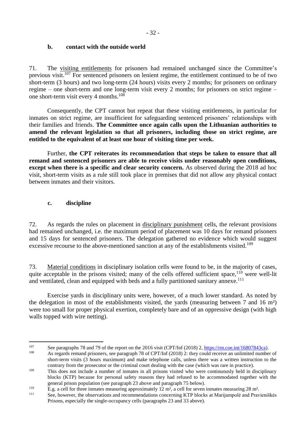## <span id="page-31-0"></span>**b. contact with the outside world**

71. The visiting entitlements for prisoners had remained unchanged since the Committee's previous visit.<sup>107</sup> For sentenced prisoners on lenient regime, the entitlement continued to be of two short-term (3 hours) and two long-term (24 hours) visits every 2 months; for prisoners on ordinary regime – one short-term and one long-term visit every 2 months; for prisoners on strict regime – one short-term visit every 4 months.<sup>108</sup>

Consequently, the CPT cannot but repeat that these visiting entitlements, in particular for inmates on strict regime, are insufficient for safeguarding sentenced prisoners' relationships with their families and friends. **The Committee once again calls upon the Lithuanian authorities to amend the relevant legislation so that all prisoners, including those on strict regime, are entitled to the equivalent of at least one hour of visiting time per week.** 

Further, **the CPT reiterates its recommendation that steps be taken to ensure that all remand and sentenced prisoners are able to receive visits under reasonably open conditions, except when there is a specific and clear security concern.** As observed during the 2018 ad hoc visit, short-term visits as a rule still took place in premises that did not allow any physical contact between inmates and their visitors.

## <span id="page-31-1"></span>**c. discipline**

72. As regards the rules on placement in disciplinary punishment cells, the relevant provisions had remained unchanged, i.e. the maximum period of placement was 10 days for remand prisoners and 15 days for sentenced prisoners. The delegation gathered no evidence which would suggest excessive recourse to the above-mentioned sanction at any of the establishments visited.<sup>109</sup>

73. Material conditions in disciplinary isolation cells were found to be, in the majority of cases, quite acceptable in the prisons visited; many of the cells offered sufficient space,<sup>110</sup> were well-lit and ventilated, clean and equipped with beds and a fully partitioned sanitary annexe.<sup>111</sup>

Exercise yards in disciplinary units were, however, of a much lower standard. As noted by the delegation in most of the establishments visited, the yards (measuring between 7 and 16 m²) were too small for proper physical exertion, completely bare and of an oppressive design (with high walls topped with wire netting).

<sup>1</sup> <sup>107</sup> See paragraphs 78 and 79 of the report on the 2016 visit (CPT/Inf (2018) 2, [https://rm.coe.int/16807843ca\)](https://rm.coe.int/16807843ca).

As regards remand prisoners, see paragraph 78 of CPT/Inf (2018) 2: they could receive an unlimited number of short-term visits (3 hours maximum) and make telephone calls, unless there was a written instruction to the contrary from the prosecutor or the criminal court dealing with the case (which was rare in practice).

<sup>&</sup>lt;sup>109</sup> This does not include a number of inmates in all prisons visited who were continuously held in disciplinary blocks (KTP) because for personal safety reasons they had refused to be accommodated together with the general prison population (see paragraph 23 above and paragraph 75 below).

<sup>&</sup>lt;sup>110</sup> E.g. a cell for three inmates measuring approximately  $12 \text{ m}^2$ , a cell for seven inmates measuring  $28 \text{ m}^2$ .

See, however, the observations and recommendations concerning KTP blocks at Marijampolė and Pravieniškės Prisons, especially the single-occupancy cells (paragraphs 23 and 33 above).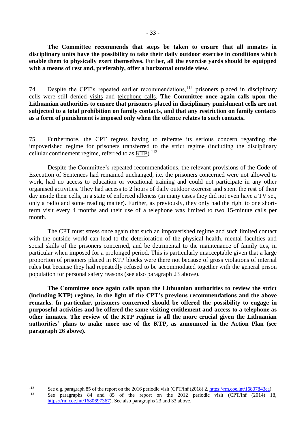**The Committee recommends that steps be taken to ensure that all inmates in disciplinary units have the possibility to take their daily outdoor exercise in conditions which enable them to physically exert themselves.** Further, **all the exercise yards should be equipped with a means of rest and, preferably, offer a horizontal outside view.**

74. Despite the CPT's repeated earlier recommendations,<sup>112</sup> prisoners placed in disciplinary cells were still denied visits and telephone calls. **The Committee once again calls upon the Lithuanian authorities to ensure that prisoners placed in disciplinary punishment cells are not subjected to a total prohibition on family contacts, and that any restriction on family contacts as a form of punishment is imposed only when the offence relates to such contacts.**

75. Furthermore, the CPT regrets having to reiterate its serious concern regarding the impoverished regime for prisoners transferred to the strict regime (including the disciplinary cellular confinement regime, referred to as  $KTP$ ).<sup>113</sup>

Despite the Committee's repeated recommendations, the relevant provisions of the Code of Execution of Sentences had remained unchanged, i.e. the prisoners concerned were not allowed to work, had no access to education or vocational training and could not participate in any other organised activities. They had access to 2 hours of daily outdoor exercise and spent the rest of their day inside their cells, in a state of enforced idleness (in many cases they did not even have a TV set, only a radio and some reading matter). Further, as previously, they only had the right to one shortterm visit every 4 months and their use of a telephone was limited to two 15-minute calls per month.

The CPT must stress once again that such an impoverished regime and such limited contact with the outside world can lead to the deterioration of the physical health, mental faculties and social skills of the prisoners concerned, and be detrimental to the maintenance of family ties, in particular when imposed for a prolonged period. This is particularly unacceptable given that a large proportion of prisoners placed in KTP blocks were there not because of gross violations of internal rules but because they had repeatedly refused to be accommodated together with the general prison population for personal safety reasons (see also paragraph 23 above).

**The Committee once again calls upon the Lithuanian authorities to review the strict (including KTP) regime, in the light of the CPT's previous recommendations and the above remarks. In particular, prisoners concerned should be offered the possibility to engage in purposeful activities and be offered the same visiting entitlement and access to a telephone as other inmates. The review of the KTP regime is all the more crucial given the Lithuanian authorities' plans to make more use of the KTP, as announced in the Action Plan (see paragraph 26 above).**

<sup>&</sup>lt;sup>112</sup> See e.g. paragraph 85 of the report on the 2016 periodic visit (CPT/Inf (2018) 2[, https://rm.coe.int/16807843ca\)](https://rm.coe.int/16807843ca). See paragraphs 84 and 85 of the report on the 2012 periodic visit (CPT/Inf (2014) 18, [https://rm.coe.int/1680697367\)](https://rm.coe.int/1680697367). See also paragraphs 23 and 33 above.